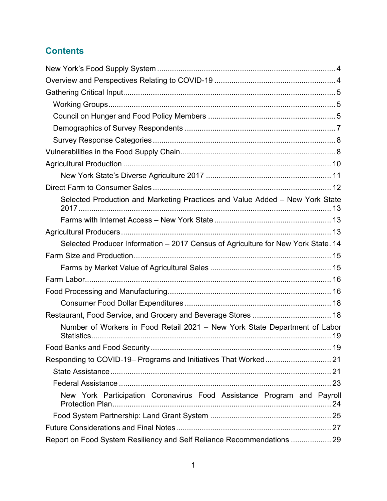# **Contents**

| Selected Production and Marketing Practices and Value Added - New York State      |  |
|-----------------------------------------------------------------------------------|--|
|                                                                                   |  |
|                                                                                   |  |
| Selected Producer Information - 2017 Census of Agriculture for New York State. 14 |  |
|                                                                                   |  |
|                                                                                   |  |
|                                                                                   |  |
|                                                                                   |  |
|                                                                                   |  |
| Restaurant, Food Service, and Grocery and Beverage Stores  18                     |  |
| Number of Workers in Food Retail 2021 - New York State Department of Labor        |  |
|                                                                                   |  |
|                                                                                   |  |
|                                                                                   |  |
|                                                                                   |  |
| New York Participation Coronavirus Food Assistance Program and Payroll            |  |
|                                                                                   |  |
|                                                                                   |  |
| Report on Food System Resiliency and Self Reliance Recommendations  29            |  |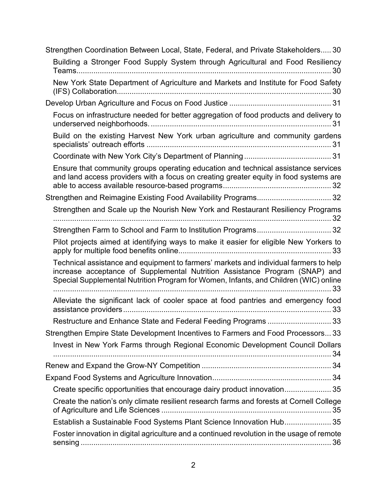| Strengthen Coordination Between Local, State, Federal, and Private Stakeholders 30                                                                                                                                                                           |
|--------------------------------------------------------------------------------------------------------------------------------------------------------------------------------------------------------------------------------------------------------------|
| Building a Stronger Food Supply System through Agricultural and Food Resiliency                                                                                                                                                                              |
| New York State Department of Agriculture and Markets and Institute for Food Safety                                                                                                                                                                           |
|                                                                                                                                                                                                                                                              |
| Focus on infrastructure needed for better aggregation of food products and delivery to                                                                                                                                                                       |
| Build on the existing Harvest New York urban agriculture and community gardens                                                                                                                                                                               |
|                                                                                                                                                                                                                                                              |
| Ensure that community groups operating education and technical assistance services<br>and land access providers with a focus on creating greater equity in food systems are                                                                                  |
| Strengthen and Reimagine Existing Food Availability Programs 32                                                                                                                                                                                              |
| Strengthen and Scale up the Nourish New York and Restaurant Resiliency Programs                                                                                                                                                                              |
| Strengthen Farm to School and Farm to Institution Programs 32                                                                                                                                                                                                |
| Pilot projects aimed at identifying ways to make it easier for eligible New Yorkers to                                                                                                                                                                       |
| Technical assistance and equipment to farmers' markets and individual farmers to help<br>increase acceptance of Supplemental Nutrition Assistance Program (SNAP) and<br>Special Supplemental Nutrition Program for Women, Infants, and Children (WIC) online |
| Alleviate the significant lack of cooler space at food pantries and emergency food                                                                                                                                                                           |
| Restructure and Enhance State and Federal Feeding Programs  33                                                                                                                                                                                               |
| Strengthen Empire State Development Incentives to Farmers and Food Processors 33                                                                                                                                                                             |
| Invest in New York Farms through Regional Economic Development Council Dollars                                                                                                                                                                               |
|                                                                                                                                                                                                                                                              |
|                                                                                                                                                                                                                                                              |
| Create specific opportunities that encourage dairy product innovation 35                                                                                                                                                                                     |
| Create the nation's only climate resilient research farms and forests at Cornell College                                                                                                                                                                     |
| Establish a Sustainable Food Systems Plant Science Innovation Hub 35                                                                                                                                                                                         |
| Foster innovation in digital agriculture and a continued revolution in the usage of remote                                                                                                                                                                   |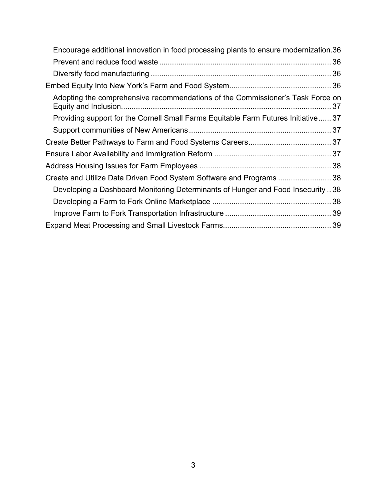| Encourage additional innovation in food processing plants to ensure modernization.36 |
|--------------------------------------------------------------------------------------|
|                                                                                      |
|                                                                                      |
|                                                                                      |
| Adopting the comprehensive recommendations of the Commissioner's Task Force on       |
| Providing support for the Cornell Small Farms Equitable Farm Futures Initiative 37   |
|                                                                                      |
|                                                                                      |
|                                                                                      |
|                                                                                      |
| Create and Utilize Data Driven Food System Software and Programs  38                 |
| Developing a Dashboard Monitoring Determinants of Hunger and Food Insecurity  38     |
|                                                                                      |
|                                                                                      |
|                                                                                      |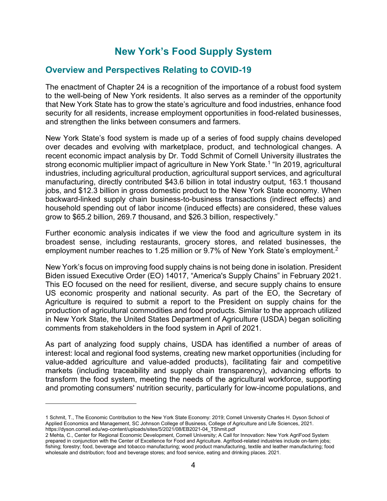# **New York's Food Supply System**

# <span id="page-3-1"></span><span id="page-3-0"></span>**Overview and Perspectives Relating to COVID-19**

The enactment of Chapter 24 is a recognition of the importance of a robust food system to the well-being of New York residents. It also serves as a reminder of the opportunity that New York State has to grow the state's agriculture and food industries, enhance food security for all residents, increase employment opportunities in food-related businesses, and strengthen the links between consumers and farmers.

New York State's food system is made up of a series of food supply chains developed over decades and evolving with marketplace, product, and technological changes. A recent economic impact analysis by Dr. Todd Schmit of Cornell University illustrates the strong economic multiplier impact of agriculture in New York State. [1](#page-3-2) "In 2019, agricultural industries, including agricultural production, agricultural support services, and agricultural manufacturing, directly contributed \$43.6 billion in total industry output, 163.1 thousand jobs, and \$12.3 billion in gross domestic product to the New York State economy. When backward-linked supply chain business-to-business transactions (indirect effects) and household spending out of labor income (induced effects) are considered, these values grow to \$65.2 billion, 269.7 thousand, and \$26.3 billion, respectively."

Further economic analysis indicates if we view the food and agriculture system in its broadest sense, including restaurants, grocery stores, and related businesses, the employment number reaches to 1.25 million or 9.7% of New York State's employment. [2](#page-3-3)

New York's focus on improving food supply chains is not being done in isolation. President Biden issued Executive Order (EO) 14017, "America's Supply Chains" in February 2021. This EO focused on the need for resilient, diverse, and secure supply chains to ensure US economic prosperity and national security. As part of the EO, the Secretary of Agriculture is required to submit a report to the President on supply chains for the production of agricultural commodities and food products. Similar to the approach utilized in New York State, the United States Department of Agriculture (USDA) began soliciting comments from stakeholders in the food system in April of 2021.

As part of analyzing food supply chains, USDA has identified a number of areas of interest: local and regional food systems, creating new market opportunities (including for value-added agriculture and value-added products), facilitating fair and competitive markets (including traceability and supply chain transparency), advancing efforts to transform the food system, meeting the needs of the agricultural workforce, supporting and promoting consumers' nutrition security, particularly for low-income populations, and

<span id="page-3-2"></span><sup>1</sup> Schmit, T., The Economic Contribution to the New York State Economy: 2019; Cornell University Charles H. Dyson School of Applied Economics and Management, SC Johnson College of Business, College of Agriculture and Life Sciences, 2021. https://dyson.cornell.edu/wp-content/uploads/sites/5/2021/08/EB2021-04\_TShmit.pdf

<span id="page-3-3"></span><sup>2</sup> Mehta, C., Center for Regional Economic Development, Cornell University; A Call for Innovation: New York AgriFood System prepared in conjunction with the Center of Excellence for Food and Agriculture. Agrifood-related industries include on-farm jobs; fishing; forestry; food, beverage and tobacco manufacturing; wood product manufacturing, textile and leather manufacturing; food wholesale and distribution; food and beverage stores; and food service, eating and drinking places. 2021.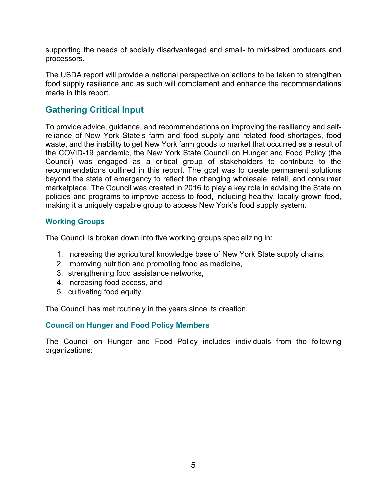supporting the needs of socially disadvantaged and small- to mid-sized producers and processors.

The USDA report will provide a national perspective on actions to be taken to strengthen food supply resilience and as such will complement and enhance the recommendations made in this report.

# <span id="page-4-0"></span>**Gathering Critical Input**

To provide advice, guidance, and recommendations on improving the resiliency and selfreliance of New York State's farm and food supply and related food shortages, food waste, and the inability to get New York farm goods to market that occurred as a result of the COVID-19 pandemic, the New York State Council on Hunger and Food Policy (the Council) was engaged as a critical group of stakeholders to contribute to the recommendations outlined in this report. The goal was to create permanent solutions beyond the state of emergency to reflect the changing wholesale, retail, and consumer marketplace. The Council was created in 2016 to play a key role in advising the State on policies and programs to improve access to food, including healthy, locally grown food, making it a uniquely capable group to access New York's food supply system.

### <span id="page-4-1"></span>**Working Groups**

The Council is broken down into five working groups specializing in:

- 1. increasing the agricultural knowledge base of New York State supply chains,
- 2. improving nutrition and promoting food as medicine,
- 3. strengthening food assistance networks,
- 4. increasing food access, and
- 5. cultivating food equity.

The Council has met routinely in the years since its creation.

#### <span id="page-4-2"></span>**Council on Hunger and Food Policy Members**

The Council on Hunger and Food Policy includes individuals from the following organizations: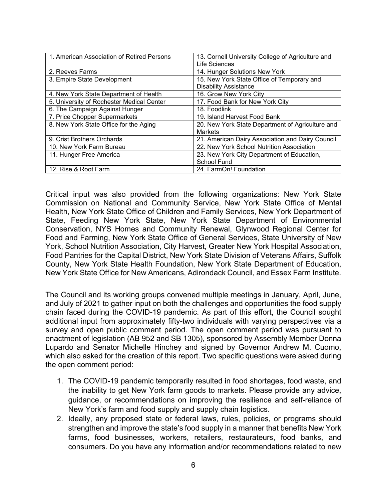| 1. American Association of Retired Persons | 13. Cornell University College of Agriculture and |
|--------------------------------------------|---------------------------------------------------|
|                                            | Life Sciences                                     |
| 2. Reeves Farms                            | 14. Hunger Solutions New York                     |
| 3. Empire State Development                | 15. New York State Office of Temporary and        |
|                                            | <b>Disability Assistance</b>                      |
| 4. New York State Department of Health     | 16. Grow New York City                            |
| 5. University of Rochester Medical Center  | 17. Food Bank for New York City                   |
| 6. The Campaign Against Hunger             | 18. Foodlink                                      |
| 7. Price Chopper Supermarkets              | 19. Island Harvest Food Bank                      |
| 8. New York State Office for the Aging     | 20. New York State Department of Agriculture and  |
|                                            | <b>Markets</b>                                    |
| 9. Crist Brothers Orchards                 | 21. American Dairy Association and Dairy Council  |
| 10. New York Farm Bureau                   | 22. New York School Nutrition Association         |
| 11. Hunger Free America                    | 23. New York City Department of Education,        |
|                                            | School Fund                                       |
| 12. Rise & Root Farm                       | 24. FarmOn! Foundation                            |

Critical input was also provided from the following organizations: New York State Commission on National and Community Service, New York State Office of Mental Health, New York State Office of Children and Family Services, New York Department of State, Feeding New York State, New York State Department of Environmental Conservation, NYS Homes and Community Renewal, Glynwood Regional Center for Food and Farming, New York State Office of General Services, State University of New York, School Nutrition Association, City Harvest, Greater New York Hospital Association, Food Pantries for the Capital District, New York State Division of Veterans Affairs, Suffolk County, New York State Health Foundation, New York State Department of Education, New York State Office for New Americans, Adirondack Council, and Essex Farm Institute.

The Council and its working groups convened multiple meetings in January, April, June, and July of 2021 to gather input on both the challenges and opportunities the food supply chain faced during the COVID-19 pandemic. As part of this effort, the Council sought additional input from approximately fifty-two individuals with varying perspectives via a survey and open public comment period. The open comment period was pursuant to enactment of legislation (AB 952 and SB 1305), sponsored by Assembly Member Donna Lupardo and Senator Michelle Hinchey and signed by Governor Andrew M. Cuomo, which also asked for the creation of this report. Two specific questions were asked during the open comment period:

- 1. The COVID-19 pandemic temporarily resulted in food shortages, food waste, and the inability to get New York farm goods to markets. Please provide any advice, guidance, or recommendations on improving the resilience and self-reliance of New York's farm and food supply and supply chain logistics.
- 2. Ideally, any proposed state or federal laws, rules, policies, or programs should strengthen and improve the state's food supply in a manner that benefits New York farms, food businesses, workers, retailers, restaurateurs, food banks, and consumers. Do you have any information and/or recommendations related to new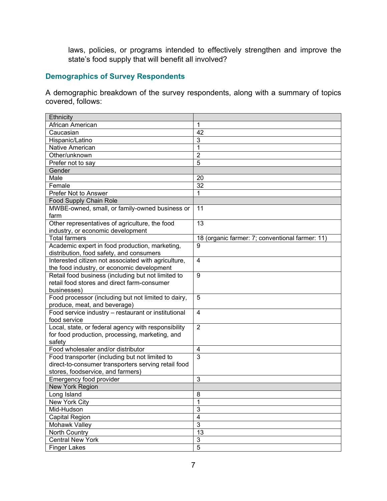laws, policies, or programs intended to effectively strengthen and improve the state's food supply that will benefit all involved?

### <span id="page-6-0"></span>**Demographics of Survey Respondents**

A demographic breakdown of the survey respondents, along with a summary of topics covered, follows:

| Ethnicity                                           |                                                 |
|-----------------------------------------------------|-------------------------------------------------|
| African American                                    | 1                                               |
| Caucasian                                           | 42                                              |
| Hispanic/Latino                                     | 3                                               |
| Native American                                     | $\overline{1}$                                  |
| Other/unknown                                       | $\overline{2}$                                  |
| Prefer not to say                                   | 5                                               |
| Gender                                              |                                                 |
| Male                                                | 20                                              |
| Female                                              | 32                                              |
| Prefer Not to Answer                                | 1                                               |
| Food Supply Chain Role                              |                                                 |
| MWBE-owned, small, or family-owned business or      | 11                                              |
| farm                                                |                                                 |
| Other representatives of agriculture, the food      | 13                                              |
| industry, or economic development                   |                                                 |
| <b>Total farmers</b>                                | 18 (organic farmer: 7; conventional farmer: 11) |
| Academic expert in food production, marketing,      | 9                                               |
| distribution, food safety, and consumers            |                                                 |
| Interested citizen not associated with agriculture, | $\overline{4}$                                  |
| the food industry, or economic development          |                                                 |
| Retail food business (including but not limited to  | 9                                               |
| retail food stores and direct farm-consumer         |                                                 |
| businesses)                                         |                                                 |
| Food processor (including but not limited to dairy, | 5                                               |
| produce, meat, and beverage)                        |                                                 |
| Food service industry - restaurant or institutional | $\overline{4}$                                  |
| food service                                        |                                                 |
| Local, state, or federal agency with responsibility | $\overline{2}$                                  |
| for food production, processing, marketing, and     |                                                 |
| safety                                              |                                                 |
| Food wholesaler and/or distributor                  | 4                                               |
| Food transporter (including but not limited to      | 3                                               |
| direct-to-consumer transporters serving retail food |                                                 |
| stores, foodservice, and farmers)                   |                                                 |
| Emergency food provider                             | 3                                               |
| New York Region                                     |                                                 |
| Long Island                                         | 8                                               |
| New York City                                       | $\mathbf 1$                                     |
| Mid-Hudson                                          | $\overline{3}$                                  |
| Capital Region                                      | $\overline{\mathbf{4}}$                         |
| Mohawk Valley                                       | $\overline{3}$                                  |
| North Country                                       | $\overline{13}$                                 |
| <b>Central New York</b>                             | $\mathbf{3}$                                    |
| <b>Finger Lakes</b>                                 | $\overline{5}$                                  |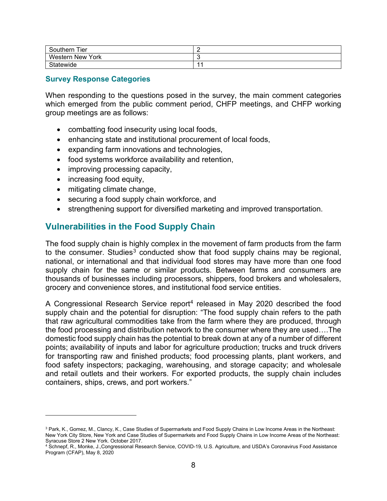| Tier<br>Southern | - |
|------------------|---|
| Western New York | ∼ |
| Statewide        |   |

#### <span id="page-7-0"></span>**Survey Response Categories**

When responding to the questions posed in the survey, the main comment categories which emerged from the public comment period, CHFP meetings, and CHFP working group meetings are as follows:

- combatting food insecurity using local foods,
- enhancing state and institutional procurement of local foods,
- expanding farm innovations and technologies,
- food systems workforce availability and retention,
- improving processing capacity,
- increasing food equity,
- mitigating climate change,
- securing a food supply chain workforce, and
- strengthening support for diversified marketing and improved transportation.

## <span id="page-7-1"></span>**Vulnerabilities in the Food Supply Chain**

The food supply chain is highly complex in the movement of farm products from the farm to the consumer. Studies<sup>[3](#page-7-2)</sup> conducted show that food supply chains may be regional, national, or international and that individual food stores may have more than one food supply chain for the same or similar products. Between farms and consumers are thousands of businesses including processors, shippers, food brokers and wholesalers, grocery and convenience stores, and institutional food service entities.

A Congressional Research Service report<sup>[4](#page-7-3)</sup> released in May 2020 described the food supply chain and the potential for disruption: "The food supply chain refers to the path that raw agricultural commodities take from the farm where they are produced, through the food processing and distribution network to the consumer where they are used….The domestic food supply chain has the potential to break down at any of a number of different points; availability of inputs and labor for agriculture production; trucks and truck drivers for transporting raw and finished products; food processing plants, plant workers, and food safety inspectors; packaging, warehousing, and storage capacity; and wholesale and retail outlets and their workers. For exported products, the supply chain includes containers, ships, crews, and port workers."

<span id="page-7-2"></span><sup>&</sup>lt;sup>3</sup> Park, K., Gomez, M., Clancy, K., Case Studies of Supermarkets and Food Supply Chains in Low Income Areas in the Northeast: New York City Store, New York and Case Studies of Supermarkets and Food Supply Chains in Low Income Areas of the Northeast: Syracuse Store 2 New York. October 2017.

<span id="page-7-3"></span><sup>4</sup> Schnepf, R., Monke, J.,Congressional Research Service, COVID-19, U.S. Agriculture, and USDA's Coronavirus Food Assistance Program (CFAP), May 8, 2020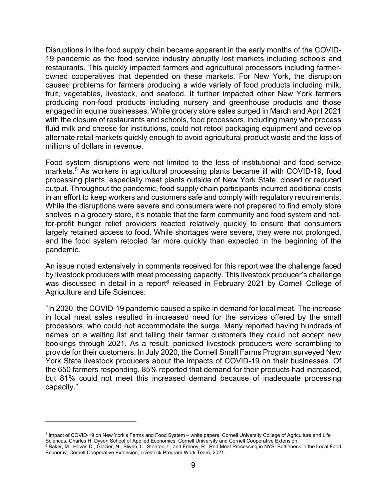Disruptions in the food supply chain became apparent in the early months of the COVID-19 pandemic as the food service industry abruptly lost markets including schools and restaurants. This quickly impacted farmers and agricultural processors including farmerowned cooperatives that depended on these markets. For New York, the disruption caused problems for farmers producing a wide variety of food products including milk, fruit, vegetables, livestock, and seafood. It further impacted other New York farmers producing non-food products including nursery and greenhouse products and those engaged in equine businesses. While grocery store sales surged in March and April 2021 with the closure of restaurants and schools, food processors, including many who process fluid milk and cheese for institutions, could not retool packaging equipment and develop alternate retail markets quickly enough to avoid agricultural product waste and the loss of millions of dollars in revenue.

Food system disruptions were not limited to the loss of institutional and food service markets. [5](#page-8-0) As workers in agricultural processing plants became ill with COVID-19, food processing plants, especially meat plants outside of New York State, closed or reduced output. Throughout the pandemic, food supply chain participants incurred additional costs in an effort to keep workers and customers safe and comply with regulatory requirements. While the disruptions were severe and consumers were not prepared to find empty store shelves in a grocery store, it's notable that the farm community and food system and notfor-profit hunger relief providers reacted relatively quickly to ensure that consumers largely retained access to food. While shortages were severe, they were not prolonged, and the food system retooled far more quickly than expected in the beginning of the pandemic.

An issue noted extensively in comments received for this report was the challenge faced by livestock producers with meat processing capacity. This livestock producer's challenge was discussed in detail in a report<sup>[6](#page-8-1)</sup> released in February 2021 by Cornell College of Agriculture and Life Sciences:

"In 2020, the COVID-19 pandemic caused a spike in demand for local meat. The increase in local meat sales resulted in increased need for the services offered by the small processors, who could not accommodate the surge. Many reported having hundreds of names on a waiting list and telling their farmer customers they could not accept new bookings through 2021. As a result, panicked livestock producers were scrambling to provide for their customers. In July 2020, the Cornell Small Farms Program surveyed New York State livestock producers about the impacts of COVID-19 on their businesses. Of the 650 farmers responding, 85% reported that demand for their products had increased, but 81% could not meet this increased demand because of inadequate processing capacity."

<span id="page-8-0"></span><sup>5</sup> Impact of COVID-19 on New York's Farms and Food System – white papers, Cornell University College of Agriculture and Life Sciences, Charles H. Dyson School of Applied Economics, Cornell University and Cornell Cooperative Extension.

<span id="page-8-1"></span><sup>6</sup> Baker, M., Havas D., Glazier, N., Bliven, L., Stanton, t., and Freney, R., Red Meat Processing in NYS: Bottleneck in the Local Food Economy; Cornell Cooperative Extension, Livestock Program Work Team, 2021.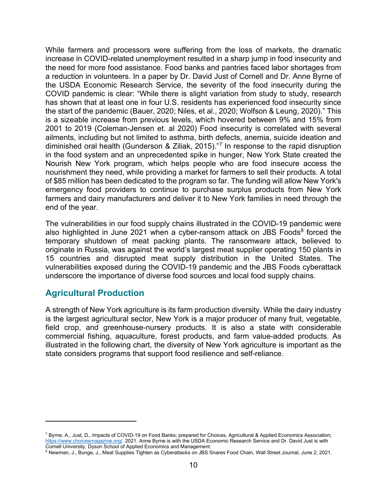While farmers and processors were suffering from the loss of markets, the dramatic increase in COVID-related unemployment resulted in a sharp jump in food insecurity and the need for more food assistance. Food banks and pantries faced labor shortages from a reduction in volunteers. In a paper by Dr. David Just of Cornell and Dr. Anne Byrne of the USDA Economic Research Service, the severity of the food insecurity during the COVID pandemic is clear: "While there is slight variation from study to study, research has shown that at least one in four U.S. residents has experienced food insecurity since the start of the pandemic (Bauer, 2020; Niles, et al., 2020; Wolfson & Leung, 2020)." This is a sizeable increase from previous levels, which hovered between 9% and 15% from 2001 to 2019 (Coleman-Jensen et. al 2020) Food insecurity is correlated with several ailments, including but not limited to asthma, birth defects, anemia, suicide ideation and diminished oral health (Gunderson & Ziliak, 2015)."[7](#page-9-1) In response to the rapid disruption in the food system and an unprecedented spike in hunger, New York State created the Nourish New York program, which helps people who are food insecure access the nourishment they need, while providing a market for farmers to sell their products. A total of \$85 million has been dedicated to the program so far. The funding will allow New York's emergency food providers to continue to purchase surplus products from New York farmers and dairy manufacturers and deliver it to New York families in need through the end of the year.

The vulnerabilities in our food supply chains illustrated in the COVID-19 pandemic were also highlighted in June 2021 when a cyber-ransom attack on JBS Foods $8$  forced the temporary shutdown of meat packing plants. The ransomware attack, believed to originate in Russia, was against the world's largest meat supplier operating 150 plants in 15 countries and disrupted meat supply distribution in the United States. The vulnerabilities exposed during the COVID-19 pandemic and the JBS Foods cyberattack underscore the importance of diverse food sources and local food supply chains.

## <span id="page-9-0"></span>**Agricultural Production**

A strength of New York agriculture is its farm production diversity. While the dairy industry is the largest agricultural sector, New York is a major producer of many fruit, vegetable, field crop, and greenhouse-nursery products. It is also a state with considerable commercial fishing, aquaculture, forest products, and farm value-added products. As illustrated in the following chart, the diversity of New York agriculture is important as the state considers programs that support food resilience and self-reliance.

<span id="page-9-1"></span><sup>7</sup> Byrne, A., Just, D., Impacts of COVID-19 on Food Banks; prepared for Choices, Agricultural & Applied Economics Association; [https://www.choicesmagazine.org/.](https://www.choicesmagazine.org/) 2021. Anne Byrne is with the USDA Economic Research Service and Dr. David Just is with<br>Cornell University, Dyson School of Applied Economics and Management.

<span id="page-9-2"></span><sup>&</sup>lt;sup>8</sup> Newman, J., Bunge, J., Meat Supplies Tighten as Cyberattacks on JBS Snares Food Chain, Wall Street Journal, June 2, 2021.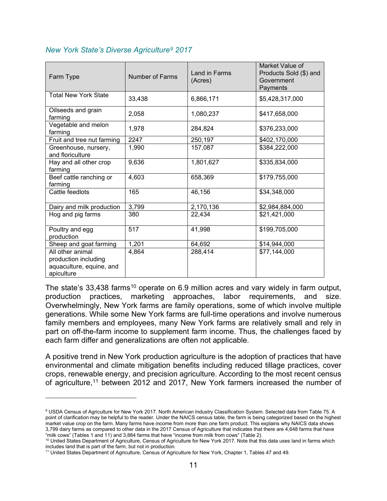| Farm Type                                                                          | <b>Number of Farms</b> | Land in Farms<br>(Acres) | Market Value of<br>Products Sold (\$) and<br>Government<br>Payments |
|------------------------------------------------------------------------------------|------------------------|--------------------------|---------------------------------------------------------------------|
| <b>Total New York State</b>                                                        | 33,438                 | 6,866,171                | \$5,428,317,000                                                     |
| Oilseeds and grain<br>farming                                                      | 2,058                  | 1,080,237                | \$417,658,000                                                       |
| Vegetable and melon<br>farming                                                     | 1,978                  | 284,824                  | \$376,233,000                                                       |
| Fruit and tree nut farming                                                         | 2247                   | 250,197                  | \$402,170,000                                                       |
| Greenhouse, nursery,<br>and floriculture                                           | 1,990                  | 157,087                  | \$384,222,000                                                       |
| Hay and all other crop<br>farming                                                  | 9,636                  | 1,801,627                | \$335,834,000                                                       |
| Beef cattle ranching or<br>farming                                                 | 4,603                  | 658,369                  | \$179,755,000                                                       |
| Cattle feedlots                                                                    | 165                    | 46,156                   | \$34,348,000                                                        |
| Dairy and milk production                                                          | 3,799                  | 2,170,136                | \$2,984,884,000                                                     |
| Hog and pig farms                                                                  | 380                    | 22,434                   | \$21,421,000                                                        |
| Poultry and egg<br>production                                                      | 517                    | 41,998                   | \$199,705,000                                                       |
| Sheep and goat farming                                                             | 1,201                  | 64,692                   | \$14,944,000                                                        |
| All other animal<br>production including<br>aquaculture, equine, and<br>apiculture | 4,864                  | 288,414                  | \$77,144,000                                                        |

#### <span id="page-10-0"></span>*New York State's Diverse Agriculture[9](#page-10-1) 2017*

The state's 33,438 farms<sup>[10](#page-10-2)</sup> operate on 6.9 million acres and vary widely in farm output, production practices, marketing approaches, labor requirements, and size. Overwhelmingly, New York farms are family operations, some of which involve multiple generations. While some New York farms are full-time operations and involve numerous family members and employees, many New York farms are relatively small and rely in part on off-the-farm income to supplement farm income. Thus, the challenges faced by each farm differ and generalizations are often not applicable.

A positive trend in New York production agriculture is the adoption of practices that have environmental and climate mitigation benefits including reduced tillage practices, cover crops, renewable energy, and precision agriculture. According to the most recent census of agriculture,<sup>[11](#page-10-3)</sup> between 2012 and 2017, New York farmers increased the number of

<span id="page-10-1"></span><sup>9</sup> USDA Census of Agriculture for New York 2017. North American Industry Classification System. Selected data from Table 75. A point of clarification may be helpful to the reader. Under the NAICS census table, the farm is being categorized based on the highest market value crop on the farm. Many farms have income from more than one farm product. This explains why NAICS data shows 3,799 dairy farms as compared to other data in the 2017 Census of Agriculture that indicates that there are 4,648 farms that have "milk cows" (Tables 1 and 11) and 3,884 farms that have "income from milk from cows" (Table

<span id="page-10-2"></span><sup>&</sup>lt;sup>10</sup> United States Department of Agriculture, Census of Agriculture for New York 2017. Note that this data uses land in farms which includes land that is part of the farm, but not in production.

<span id="page-10-3"></span><sup>11</sup> United States Department of Agriculture, Census of Agriculture for New York, Chapter 1, Tables 47 and 49.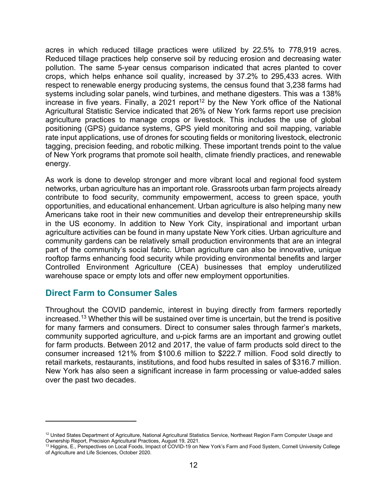acres in which reduced tillage practices were utilized by 22.5% to 778,919 acres. Reduced tillage practices help conserve soil by reducing erosion and decreasing water pollution. The same 5-year census comparison indicated that acres planted to cover crops, which helps enhance soil quality, increased by 37.2% to 295,433 acres. With respect to renewable energy producing systems, the census found that 3,238 farms had systems including solar panels, wind turbines, and methane digesters. This was a 138% increase in five years. Finally, a 2021 report<sup>[12](#page-11-1)</sup> by the New York office of the National Agricultural Statistic Service indicated that 26% of New York farms report use precision agriculture practices to manage crops or livestock. This includes the use of global positioning (GPS) guidance systems, GPS yield monitoring and soil mapping, variable rate input applications, use of drones for scouting fields or monitoring livestock, electronic tagging, precision feeding, and robotic milking. These important trends point to the value of New York programs that promote soil health, climate friendly practices, and renewable energy.

As work is done to develop stronger and more vibrant local and regional food system networks, urban agriculture has an important role. Grassroots urban farm projects already contribute to food security, community empowerment, access to green space, youth opportunities, and educational enhancement. Urban agriculture is also helping many new Americans take root in their new communities and develop their entrepreneurship skills in the US economy. In addition to New York City, inspirational and important urban agriculture activities can be found in many upstate New York cities. Urban agriculture and community gardens can be relatively small production environments that are an integral part of the community's social fabric. Urban agriculture can also be innovative, unique rooftop farms enhancing food security while providing environmental benefits and larger Controlled Environment Agriculture (CEA) businesses that employ underutilized warehouse space or empty lots and offer new employment opportunities.

## <span id="page-11-0"></span>**Direct Farm to Consumer Sales**

Throughout the COVID pandemic, interest in buying directly from farmers reportedly increased. [13](#page-11-2) Whether this will be sustained over time is uncertain, but the trend is positive for many farmers and consumers. Direct to consumer sales through farmer's markets, community supported agriculture, and u-pick farms are an important and growing outlet for farm products. Between 2012 and 2017, the value of farm products sold direct to the consumer increased 121% from \$100.6 million to \$222.7 million. Food sold directly to retail markets, restaurants, institutions, and food hubs resulted in sales of \$316.7 million. New York has also seen a significant increase in farm processing or value-added sales over the past two decades.

<span id="page-11-1"></span><sup>&</sup>lt;sup>12</sup> United States Department of Agriculture, National Agricultural Statistics Service, Northeast Region Farm Computer Usage and Ownership Report, Precision Agricultural Practices, August 19, 2021.

<span id="page-11-2"></span><sup>13</sup> Higgins, E., Perspectives on Local Foods, Impact of COVID-19 on New York's Farm and Food System, Cornell University College of Agriculture and Life Sciences, October 2020.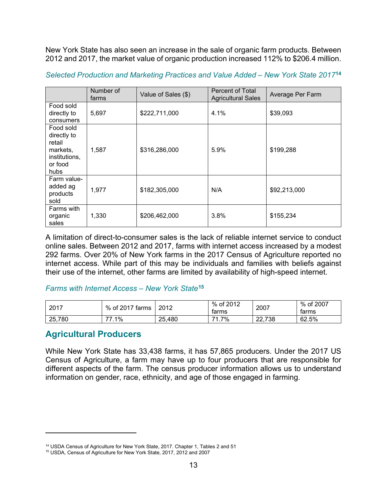New York State has also seen an increase in the sale of organic farm products. Between 2012 and 2017, the market value of organic production increased 112% to \$206.4 million.

|                                                                                    | Number of<br>farms | Value of Sales (\$) | Percent of Total<br><b>Agricultural Sales</b> | Average Per Farm |
|------------------------------------------------------------------------------------|--------------------|---------------------|-----------------------------------------------|------------------|
| Food sold<br>directly to<br>consumers                                              | 5,697              | \$222,711,000       | 4.1%                                          | \$39,093         |
| Food sold<br>directly to<br>retail<br>markets,<br>institutions,<br>or food<br>hubs | 1,587              | \$316,286,000       | 5.9%                                          | \$199,288        |
| Farm value-<br>added ag<br>products<br>sold                                        | 1,977              | \$182,305,000       | N/A                                           | \$92,213,000     |
| Farms with<br>organic<br>sales                                                     | 1,330              | \$206,462,000       | 3.8%                                          | \$155,234        |

<span id="page-12-0"></span>*Selected Production and Marketing Practices and Value Added – New York State 2017***[14](#page-12-3)**

A limitation of direct-to-consumer sales is the lack of reliable internet service to conduct online sales. Between 2012 and 2017, farms with internet access increased by a modest 292 farms. Over 20% of New York farms in the 2017 Census of Agriculture reported no internet access. While part of this may be individuals and families with beliefs against their use of the internet, other farms are limited by availability of high-speed internet.

#### <span id="page-12-1"></span>*Farms with Internet Access – New York State***[15](#page-12-4)**

| 2017   | of 2017 farms ،<br>% | 2012       | % of 2012<br>tarms | 2007               | of 2007<br>%<br>tarms |
|--------|----------------------|------------|--------------------|--------------------|-----------------------|
| 25,780 | 1%<br>——             | ,480<br>25 | 1.7%<br>71         | .738<br>nn.<br>ZZ. | 62.5%                 |

## <span id="page-12-2"></span>**Agricultural Producers**

While New York State has 33,438 farms, it has 57,865 producers. Under the 2017 US Census of Agriculture, a farm may have up to four producers that are responsible for different aspects of the farm. The census producer information allows us to understand information on gender, race, ethnicity, and age of those engaged in farming.

<span id="page-12-3"></span><sup>&</sup>lt;sup>14</sup> USDA Census of Agriculture for New York State, 2017. Chapter 1, Tables 2 and 51

<span id="page-12-4"></span><sup>15</sup> USDA, Census of Agriculture for New York State, 2017, 2012 and 2007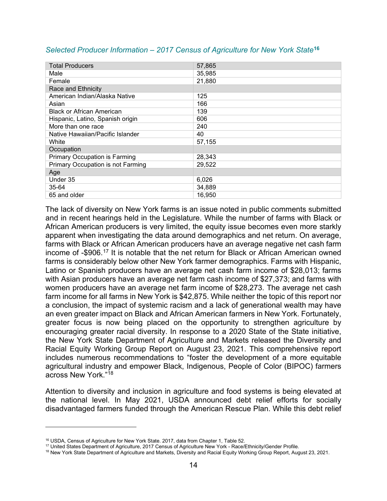| <b>Total Producers</b>               | 57,865 |
|--------------------------------------|--------|
| Male                                 | 35,985 |
| Female                               | 21,880 |
| Race and Ethnicity                   |        |
| American Indian/Alaska Native        | 125    |
| Asian                                | 166    |
| <b>Black or African American</b>     | 139    |
| Hispanic, Latino, Spanish origin     | 606    |
| More than one race                   | 240    |
| Native Hawaiian/Pacific Islander     | 40     |
| White                                | 57,155 |
| Occupation                           |        |
| <b>Primary Occupation is Farming</b> | 28,343 |
| Primary Occupation is not Farming    | 29,522 |
| Age                                  |        |
| Under 35                             | 6,026  |
| 35-64                                | 34,889 |
| 65 and older                         | 16,950 |

#### <span id="page-13-0"></span>*Selected Producer Information – 2017 Census of Agriculture for New York State***[16](#page-13-1)**

The lack of diversity on New York farms is an issue noted in public comments submitted and in recent hearings held in the Legislature. While the number of farms with Black or African American producers is very limited, the equity issue becomes even more starkly apparent when investigating the data around demographics and net return. On average, farms with Black or African American producers have an average negative net cash farm income of -\$906.[17](#page-13-2) It is notable that the net return for Black or African American owned farms is considerably below other New York farmer demographics. Farms with Hispanic, Latino or Spanish producers have an average net cash farm income of \$28,013; farms with Asian producers have an average net farm cash income of \$27,373; and farms with women producers have an average net farm income of \$28,273. The average net cash farm income for all farms in New York is \$42,875. While neither the topic of this report nor a conclusion, the impact of systemic racism and a lack of generational wealth may have an even greater impact on Black and African American farmers in New York. Fortunately, greater focus is now being placed on the opportunity to strengthen agriculture by encouraging greater racial diversity. In response to a 2020 State of the State initiative, the New York State Department of Agriculture and Markets released the Diversity and Racial Equity Working Group Report on August 23, 2021. This comprehensive report includes numerous recommendations to "foster the development of a more equitable agricultural industry and empower Black, Indigenous, People of Color (BIPOC) farmers across New York."[18](#page-13-3)

Attention to diversity and inclusion in agriculture and food systems is being elevated at the national level. In May 2021, USDA announced debt relief efforts for socially disadvantaged farmers funded through the American Rescue Plan. While this debt relief

<span id="page-13-1"></span><sup>&</sup>lt;sup>16</sup> USDA, Census of Agriculture for New York State. 2017, data from Chapter 1, Table 52.<br><sup>17</sup> United States Department of Agriculture, 2017 Census of Agriculture New York - Race/Ethnicity/Gender Profile.

<span id="page-13-3"></span><span id="page-13-2"></span><sup>&</sup>lt;sup>18</sup> New York State Department of Agriculture and Markets, Diversity and Racial Equity Working Group Report, August 23, 2021.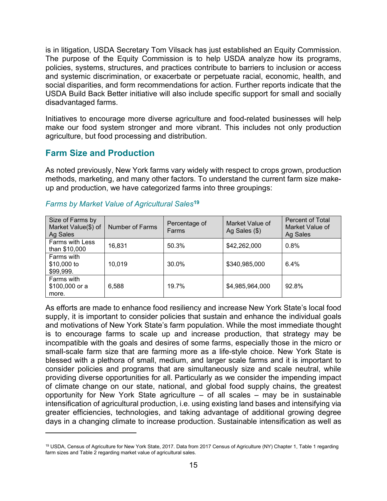is in litigation, USDA Secretary Tom Vilsack has just established an Equity Commission. The purpose of the Equity Commission is to help USDA analyze how its programs, policies, systems, structures, and practices contribute to barriers to inclusion or access and systemic discrimination, or exacerbate or perpetuate racial, economic, health, and social disparities, and form recommendations for action. Further reports indicate that the USDA Build Back Better initiative will also include specific support for small and socially disadvantaged farms.

Initiatives to encourage more diverse agriculture and food-related businesses will help make our food system stronger and more vibrant. This includes not only production agriculture, but food processing and distribution.

## <span id="page-14-0"></span>**Farm Size and Production**

As noted previously, New York farms vary widely with respect to crops grown, production methods, marketing, and many other factors. To understand the current farm size makeup and production, we have categorized farms into three groupings:

| Size of Farms by<br>Market Value(\$) of<br>Ag Sales | Number of Farms | Percentage of<br>Farms | Market Value of<br>Ag Sales $(\$)$ | Percent of Total<br>Market Value of<br>Ag Sales |
|-----------------------------------------------------|-----------------|------------------------|------------------------------------|-------------------------------------------------|
| <b>Farms with Less</b><br>than \$10,000             | 16,831          | 50.3%                  | \$42,262,000                       | 0.8%                                            |
| Farms with<br>\$10,000 to<br>\$99,999.              | 10,019          | 30.0%                  | \$340,985,000                      | 6.4%                                            |
| Farms with<br>\$100,000 or a<br>more.               | 6,588           | 19.7%                  | \$4,985,964,000                    | 92.8%                                           |

#### <span id="page-14-1"></span>*Farms by Market Value of Agricultural Sales***[19](#page-14-2)**

As efforts are made to enhance food resiliency and increase New York State's local food supply, it is important to consider policies that sustain and enhance the individual goals and motivations of New York State's farm population. While the most immediate thought is to encourage farms to scale up and increase production, that strategy may be incompatible with the goals and desires of some farms, especially those in the micro or small-scale farm size that are farming more as a life-style choice. New York State is blessed with a plethora of small, medium, and larger scale farms and it is important to consider policies and programs that are simultaneously size and scale neutral, while providing diverse opportunities for all. Particularly as we consider the impending impact of climate change on our state, national, and global food supply chains, the greatest opportunity for New York State agriculture – of all scales – may be in sustainable intensification of agricultural production, i.e. using existing land bases and intensifying via greater efficiencies, technologies, and taking advantage of additional growing degree days in a changing climate to increase production. Sustainable intensification as well as

<span id="page-14-2"></span><sup>19</sup> USDA, Census of Agriculture for New York State, 2017. Data from 2017 Census of Agriculture (NY) Chapter 1, Table 1 regarding farm sizes and Table 2 regarding market value of agricultural sales.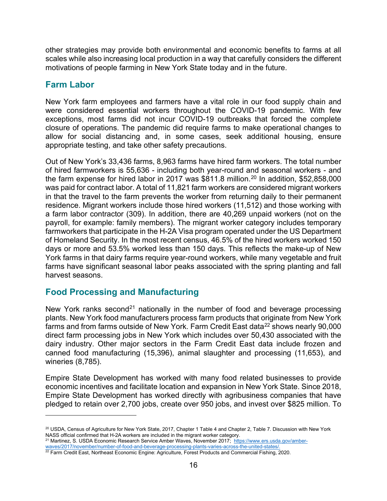other strategies may provide both environmental and economic benefits to farms at all scales while also increasing local production in a way that carefully considers the different motivations of people farming in New York State today and in the future.

# <span id="page-15-0"></span>**Farm Labor**

New York farm employees and farmers have a vital role in our food supply chain and were considered essential workers throughout the COVID-19 pandemic. With few exceptions, most farms did not incur COVID-19 outbreaks that forced the complete closure of operations. The pandemic did require farms to make operational changes to allow for social distancing and, in some cases, seek additional housing, ensure appropriate testing, and take other safety precautions.

Out of New York's 33,436 farms, 8,963 farms have hired farm workers. The total number of hired farmworkers is 55,636 - including both year-round and seasonal workers - and the farm expense for hired labor in 2017 was \$811.8 million. [20](#page-15-2) In addition, \$52,858,000 was paid for contract labor. A total of 11,821 farm workers are considered migrant workers in that the travel to the farm prevents the worker from returning daily to their permanent residence. Migrant workers include those hired workers (11,512) and those working with a farm labor contractor (309). In addition, there are 40,269 unpaid workers (not on the payroll, for example: family members). The migrant worker category includes temporary farmworkers that participate in the H-2A Visa program operated under the US Department of Homeland Security. In the most recent census, 46.5% of the hired workers worked 150 days or more and 53.5% worked less than 150 days. This reflects the make-up of New York farms in that dairy farms require year-round workers, while many vegetable and fruit farms have significant seasonal labor peaks associated with the spring planting and fall harvest seasons.

# <span id="page-15-1"></span>**Food Processing and Manufacturing**

New York ranks second<sup>[21](#page-15-3)</sup> nationally in the number of food and beverage processing plants. New York food manufacturers process farm products that originate from New York farms and from farms outside of New York. Farm Credit East data<sup>22</sup> shows nearly 90,000 direct farm processing jobs in New York which includes over 50,430 associated with the dairy industry. Other major sectors in the Farm Credit East data include frozen and canned food manufacturing (15,396), animal slaughter and processing (11,653), and wineries (8,785).

Empire State Development has worked with many food related businesses to provide economic incentives and facilitate location and expansion in New York State. Since 2018, Empire State Development has worked directly with agribusiness companies that have pledged to retain over 2,700 jobs, create over 950 jobs, and invest over \$825 million. To

<span id="page-15-4"></span><span id="page-15-3"></span>waves/2017/november/number-of-food-and-beverage-processing-plants-varies-across-the-united-states/.<br><sup>22</sup> Farm Credit East, Northeast Economic Engine: Agriculture, Forest Products and Commercial Fishing, 2020.

<span id="page-15-2"></span> $^{20}$  USDA, Census of Agriculture for New York State, 2017, Chapter 1 Table 4 and Chapter 2, Table 7. Discussion with New York NASS official confirmed that H-2A workers are included in the migrant worker category. <sup>21</sup> Martinez, S. USDA Economic Research Service Amber Waves, November 2017; [https://www.ers.usda.gov/amber-](https://www.ers.usda.gov/amber-waves/2017/november/number-of-food-and-beverage-processing-plants-varies-across-the-united-states/)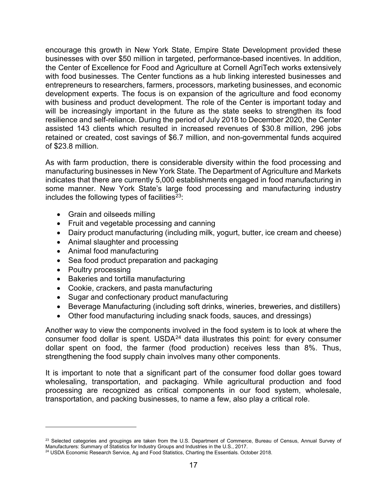encourage this growth in New York State, Empire State Development provided these businesses with over \$50 million in targeted, performance-based incentives. In addition, the Center of Excellence for Food and Agriculture at Cornell AgriTech works extensively with food businesses. The Center functions as a hub linking interested businesses and entrepreneurs to researchers, farmers, processors, marketing businesses, and economic development experts. The focus is on expansion of the agriculture and food economy with business and product development. The role of the Center is important today and will be increasingly important in the future as the state seeks to strengthen its food resilience and self-reliance. During the period of July 2018 to December 2020, the Center assisted 143 clients which resulted in increased revenues of \$30.8 million, 296 jobs retained or created, cost savings of \$6.7 million, and non-governmental funds acquired of \$23.8 million.

As with farm production, there is considerable diversity within the food processing and manufacturing businesses in New York State. The Department of Agriculture and Markets indicates that there are currently 5,000 establishments engaged in food manufacturing in some manner. New York State's large food processing and manufacturing industry includes the following types of facilities $^{23}$ :

- Grain and oilseeds milling
- Fruit and vegetable processing and canning
- Dairy product manufacturing (including milk, yogurt, butter, ice cream and cheese)
- Animal slaughter and processing
- Animal food manufacturing
- Sea food product preparation and packaging
- Poultry processing
- Bakeries and tortilla manufacturing
- Cookie, crackers, and pasta manufacturing
- Sugar and confectionary product manufacturing
- Beverage Manufacturing (including soft drinks, wineries, breweries, and distillers)
- Other food manufacturing including snack foods, sauces, and dressings)

Another way to view the components involved in the food system is to look at where the consumer food dollar is spent.  $USDA<sup>24</sup>$  $USDA<sup>24</sup>$  $USDA<sup>24</sup>$  data illustrates this point: for every consumer dollar spent on food, the farmer (food production) receives less than 8%. Thus, strengthening the food supply chain involves many other components.

It is important to note that a significant part of the consumer food dollar goes toward wholesaling, transportation, and packaging. While agricultural production and food processing are recognized as critical components in our food system, wholesale, transportation, and packing businesses, to name a few, also play a critical role.

<span id="page-16-0"></span> $23$  Selected categories and groupings are taken from the U.S. Department of Commerce, Bureau of Census, Annual Survey of Manufacturers: Summary of Statistics for Industry Groups and Industries in the U.S., 2017.

<span id="page-16-1"></span><sup>&</sup>lt;sup>24</sup> USDA Economic Research Service, Ag and Food Statistics, Charting the Essentials. October 2018.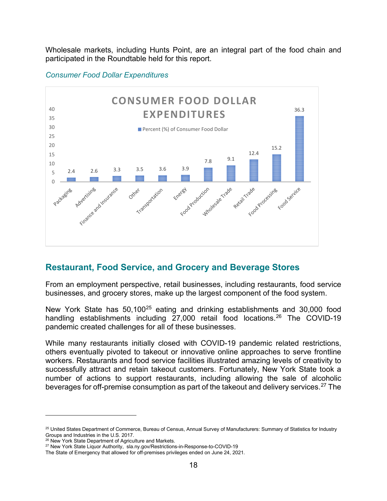Wholesale markets, including Hunts Point, are an integral part of the food chain and participated in the Roundtable held for this report.



#### <span id="page-17-0"></span>*Consumer Food Dollar Expenditures*

# <span id="page-17-1"></span>**Restaurant, Food Service, and Grocery and Beverage Stores**

From an employment perspective, retail businesses, including restaurants, food service businesses, and grocery stores, make up the largest component of the food system.

New York State has 50,100<sup>[25](#page-17-2)</sup> eating and drinking establishments and 30,000 food handling establishments including 27,000 retail food locations. [26](#page-17-3) The COVID-19 pandemic created challenges for all of these businesses.

While many restaurants initially closed with COVID-19 pandemic related restrictions, others eventually pivoted to takeout or innovative online approaches to serve frontline workers. Restaurants and food service facilities illustrated amazing levels of creativity to successfully attract and retain takeout customers. Fortunately, New York State took a number of actions to support restaurants, including allowing the sale of alcoholic beverages for off-premise consumption as part of the takeout and delivery services.<sup>[27](#page-17-4)</sup> The

<span id="page-17-2"></span><sup>&</sup>lt;sup>25</sup> United States Department of Commerce, Bureau of Census, Annual Survey of Manufacturers: Summary of Statistics for Industry Groups and Industries in the U.S. 2017.<br><sup>26</sup> New York State Department of Agriculture and Markets.

<span id="page-17-4"></span><span id="page-17-3"></span><sup>&</sup>lt;sup>27</sup> New York State Liquor Authority, sla.ny.gov/Restrictions-in-Response-to-COVID-19

The State of Emergency that allowed for off-premises privileges ended on June 24, 2021.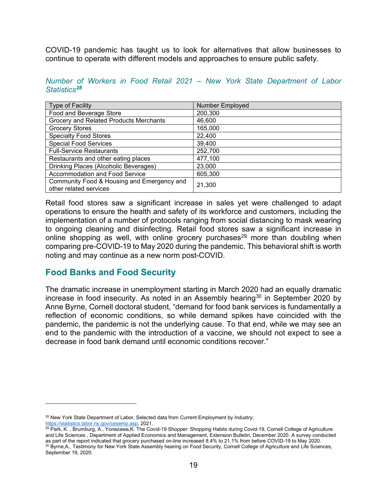COVID-19 pandemic has taught us to look for alternatives that allow businesses to continue to operate with different models and approaches to ensure public safety.

<span id="page-18-0"></span>*Number of Workers in Food Retail 2021 – New York State Department of Labor Statistics[28](#page-18-2)*

| <b>Type of Facility</b>                                              | <b>Number Employed</b> |
|----------------------------------------------------------------------|------------------------|
| Food and Beverage Store                                              | 200,300                |
| Grocery and Related Products Merchants                               | 46,600                 |
| <b>Grocery Stores</b>                                                | 165,000                |
| <b>Specialty Food Stores</b>                                         | 22,400                 |
| <b>Special Food Services</b>                                         | 39,400                 |
| <b>Full-Service Restaurants</b>                                      | 252,700                |
| Restaurants and other eating places                                  | 477,100                |
| Drinking Places (Alcoholic Beverages)                                | 23,000                 |
| Accommodation and Food Service                                       | 605,300                |
| Community Food & Housing and Emergency and<br>other related services | 21,300                 |

Retail food stores saw a significant increase in sales yet were challenged to adapt operations to ensure the health and safety of its workforce and customers, including the implementation of a number of protocols ranging from social distancing to mask wearing to ongoing cleaning and disinfecting. Retail food stores saw a significant increase in online shopping as well, with online grocery purchases<sup>[29](#page-18-3)</sup> more than doubling when comparing pre-COVID-19 to May 2020 during the pandemic. This behavioral shift is worth noting and may continue as a new norm post-COVID.

## <span id="page-18-1"></span>**Food Banks and Food Security**

The dramatic increase in unemployment starting in March 2020 had an equally dramatic increase in food insecurity. As noted in an Assembly hearing<sup>[30](#page-18-4)</sup> in September 2020 by Anne Byrne, Cornell doctoral student, "demand for food bank services is fundamentally a reflection of economic conditions, so while demand spikes have coincided with the pandemic, the pandemic is not the underlying cause. To that end, while we may see an end to the pandemic with the introduction of a vaccine, we should not expect to see a decrease in food bank demand until economic conditions recover."

<span id="page-18-2"></span><sup>&</sup>lt;sup>28</sup> New York State Department of Labor, Selected data from Current Employment by Industry; [https://statistics.labor.ny.gov/cesemp.asp,](https://statistics.labor.ny.gov/cesemp.asp) 2021.

<span id="page-18-4"></span><span id="page-18-3"></span><sup>&</sup>lt;sup>29</sup> Park, K., Brumburg, A., Yonezawa, K. The Covid-19 Shopper: Shopping Habits during Covid-19, Cornell College of Agriculture and Life Sciences , Department of Applied Economics and Management, Extension Bulletin, December 2020. A survey conducted<br>as part of the report indicated that grocery purchased on-line increased 8.4% to 21.1% from before C <sup>30</sup> Byrne, A., Testimony for New York State Assembly hearing on Food Security, Cornell College of Agriculture and Life Sciences, September 19, 2020.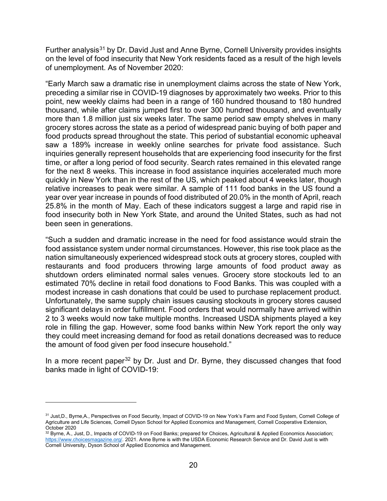Further analysis<sup>[31](#page-19-0)</sup> by Dr. David Just and Anne Byrne, Cornell University provides insights on the level of food insecurity that New York residents faced as a result of the high levels of unemployment. As of November 2020:

"Early March saw a dramatic rise in unemployment claims across the state of New York, preceding a similar rise in COVID-19 diagnoses by approximately two weeks. Prior to this point, new weekly claims had been in a range of 160 hundred thousand to 180 hundred thousand, while after claims jumped first to over 300 hundred thousand, and eventually more than 1.8 million just six weeks later. The same period saw empty shelves in many grocery stores across the state as a period of widespread panic buying of both paper and food products spread throughout the state. This period of substantial economic upheaval saw a 189% increase in weekly online searches for private food assistance. Such inquiries generally represent households that are experiencing food insecurity for the first time, or after a long period of food security. Search rates remained in this elevated range for the next 8 weeks. This increase in food assistance inquiries accelerated much more quickly in New York than in the rest of the US, which peaked about 4 weeks later, though relative increases to peak were similar. A sample of 111 food banks in the US found a year over year increase in pounds of food distributed of 20.0% in the month of April, reach 25.8% in the month of May. Each of these indicators suggest a large and rapid rise in food insecurity both in New York State, and around the United States, such as had not been seen in generations.

"Such a sudden and dramatic increase in the need for food assistance would strain the food assistance system under normal circumstances. However, this rise took place as the nation simultaneously experienced widespread stock outs at grocery stores, coupled with restaurants and food producers throwing large amounts of food product away as shutdown orders eliminated normal sales venues. Grocery store stockouts led to an estimated 70% decline in retail food donations to Food Banks. This was coupled with a modest increase in cash donations that could be used to purchase replacement product. Unfortunately, the same supply chain issues causing stockouts in grocery stores caused significant delays in order fulfillment. Food orders that would normally have arrived within 2 to 3 weeks would now take multiple months. Increased USDA shipments played a key role in filling the gap. However, some food banks within New York report the only way they could meet increasing demand for food as retail donations decreased was to reduce the amount of food given per food insecure household."

In a more recent paper<sup>[32](#page-19-1)</sup> by Dr. Just and Dr. Byrne, they discussed changes that food banks made in light of COVID-19:

<span id="page-19-0"></span><sup>31</sup> Just,D., Byrne,A., Perspectives on Food Security, Impact of COVID-19 on New York's Farm and Food System, Cornell College of Agriculture and Life Sciences, Cornell Dyson School for Applied Economics and Management, Cornell Cooperative Extension,

<span id="page-19-1"></span><sup>&</sup>lt;sup>32</sup> Byrne, A., Just, D., Impacts of COVID-19 on Food Banks; prepared for Choices, Agricultural & Applied Economics Association; [https://www.choicesmagazine.org/.](https://www.choicesmagazine.org/) 2021. Anne Byrne is with the USDA Economic Research Service and Dr. David Just is with Cornell University, Dyson School of Applied Economics and Management.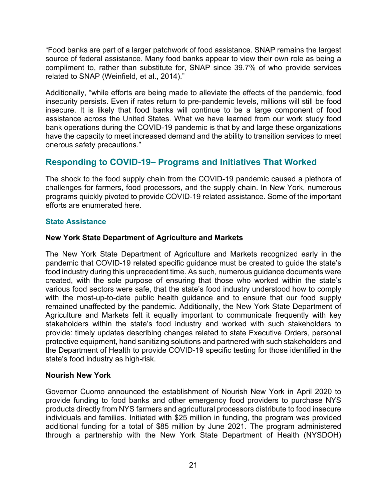"Food banks are part of a larger patchwork of food assistance. SNAP remains the largest source of federal assistance. Many food banks appear to view their own role as being a compliment to, rather than substitute for, SNAP since 39.7% of who provide services related to SNAP (Weinfield, et al., 2014)."

Additionally, "while efforts are being made to alleviate the effects of the pandemic, food insecurity persists. Even if rates return to pre-pandemic levels, millions will still be food insecure. It is likely that food banks will continue to be a large component of food assistance across the United States. What we have learned from our work study food bank operations during the COVID-19 pandemic is that by and large these organizations have the capacity to meet increased demand and the ability to transition services to meet onerous safety precautions."

# <span id="page-20-0"></span>**Responding to COVID-19– Programs and Initiatives That Worked**

The shock to the food supply chain from the COVID-19 pandemic caused a plethora of challenges for farmers, food processors, and the supply chain. In New York, numerous programs quickly pivoted to provide COVID-19 related assistance. Some of the important efforts are enumerated here.

## <span id="page-20-1"></span>**State Assistance**

### **New York State Department of Agriculture and Markets**

The New York State Department of Agriculture and Markets recognized early in the pandemic that COVID-19 related specific guidance must be created to guide the state's food industry during this unprecedent time. As such, numerous guidance documents were created, with the sole purpose of ensuring that those who worked within the state's various food sectors were safe, that the state's food industry understood how to comply with the most-up-to-date public health guidance and to ensure that our food supply remained unaffected by the pandemic. Additionally, the New York State Department of Agriculture and Markets felt it equally important to communicate frequently with key stakeholders within the state's food industry and worked with such stakeholders to provide: timely updates describing changes related to state Executive Orders, personal protective equipment, hand sanitizing solutions and partnered with such stakeholders and the Department of Health to provide COVID-19 specific testing for those identified in the state's food industry as high-risk.

#### **Nourish New York**

Governor Cuomo announced the establishment of Nourish New York in April 2020 to provide funding to food banks and other emergency food providers to purchase NYS products directly from NYS farmers and agricultural processors distribute to food insecure individuals and families. Initiated with \$25 million in funding, the program was provided additional funding for a total of \$85 million by June 2021. The program administered through a partnership with the New York State Department of Health (NYSDOH)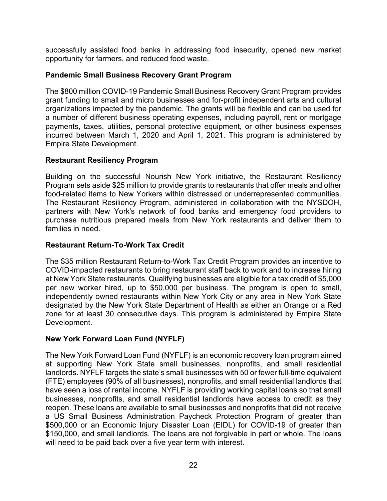successfully assisted food banks in addressing food insecurity, opened new market opportunity for farmers, and reduced food waste.

### **Pandemic Small Business Recovery Grant Program**

The \$800 million COVID-19 Pandemic Small Business Recovery Grant Program provides grant funding to small and micro businesses and for-profit independent arts and cultural organizations impacted by the pandemic. The grants will be flexible and can be used for a number of different business operating expenses, including payroll, rent or mortgage payments, taxes, utilities, personal protective equipment, or other business expenses incurred between March 1, 2020 and April 1, 2021. This program is administered by Empire State Development.

### **Restaurant Resiliency Program**

Building on the successful Nourish New York initiative, the Restaurant Resiliency Program sets aside \$25 million to provide grants to restaurants that offer meals and other food-related items to New Yorkers within distressed or underrepresented communities. The Restaurant Resiliency Program, administered in collaboration with the NYSDOH, partners with New York's network of food banks and emergency food providers to purchase nutritious prepared meals from New York restaurants and deliver them to families in need.

### **Restaurant Return-To-Work Tax Credit**

The \$35 million Restaurant Return-to-Work Tax Credit Program provides an incentive to COVID-impacted restaurants to bring restaurant staff back to work and to increase hiring at New York State restaurants. Qualifying businesses are eligible for a tax credit of \$5,000 per new worker hired, up to \$50,000 per business. The program is open to small, independently owned restaurants within New York City or any area in New York State designated by the New York State Department of Health as either an Orange or a Red zone for at least 30 consecutive days. This program is administered by Empire State Development.

## **New York Forward Loan Fund (NYFLF)**

The New York Forward Loan Fund (NYFLF) is an economic recovery loan program aimed at supporting New York State small businesses, nonprofits, and small residential landlords. NYFLF targets the state's small businesses with 50 or fewer full-time equivalent (FTE) employees (90% of all businesses), nonprofits, and small residential landlords that have seen a loss of rental income. NYFLF is providing working capital loans so that small businesses, nonprofits, and small residential landlords have access to credit as they reopen. These loans are available to small businesses and nonprofits that did not receive a US Small Business Administration Paycheck Protection Program of greater than \$500,000 or an Economic Injury Disaster Loan (EIDL) for COVID-19 of greater than \$150,000, and small landlords. The loans are not forgivable in part or whole. The loans will need to be paid back over a five year term with interest.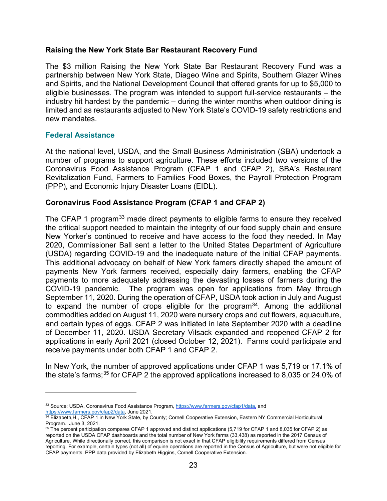#### **Raising the New York State Bar Restaurant Recovery Fund**

The \$3 million Raising the New York State Bar Restaurant Recovery Fund was a partnership between New York State, Diageo Wine and Spirits, Southern Glazer Wines and Spirits, and the National Development Council that offered grants for up to \$5,000 to eligible businesses. The program was intended to support full-service restaurants – the industry hit hardest by the pandemic – during the winter months when outdoor dining is limited and as restaurants adjusted to New York State's COVID-19 safety restrictions and new mandates.

#### <span id="page-22-0"></span>**Federal Assistance**

At the national level, USDA, and the Small Business Administration (SBA) undertook a number of programs to support agriculture. These efforts included two versions of the Coronavirus Food Assistance Program (CFAP 1 and CFAP 2), SBA's Restaurant Revitalization Fund, Farmers to Families Food Boxes, the Payroll Protection Program (PPP), and Economic Injury Disaster Loans (EIDL).

#### **Coronavirus Food Assistance Program (CFAP 1 and CFAP 2)**

The CFAP 1 program<sup>[33](#page-22-1)</sup> made direct payments to eligible farms to ensure they received the critical support needed to maintain the integrity of our food supply chain and ensure New Yorker's continued to receive and have access to the food they needed. In May 2020, Commissioner Ball sent a letter to the United States Department of Agriculture (USDA) regarding COVID-19 and the inadequate nature of the initial CFAP payments. This additional advocacy on behalf of New York famers directly shaped the amount of payments New York farmers received, especially dairy farmers, enabling the CFAP payments to more adequately addressing the devasting losses of farmers during the COVID-19 pandemic. The program was open for applications from May through September 11, 2020. During the operation of CFAP, USDA took action in July and August to expand the number of crops eligible for the program<sup>[34](#page-22-2)</sup>. Among the additional commodities added on August 11, 2020 were nursery crops and cut flowers, aquaculture, and certain types of eggs. CFAP 2 was initiated in late September 2020 with a deadline of December 11, 2020. USDA Secretary Vilsack expanded and reopened CFAP 2 for applications in early April 2021 (closed October 12, 2021). Farms could participate and receive payments under both CFAP 1 and CFAP 2.

In New York, the number of approved applications under CFAP 1 was 5,719 or 17.1% of the state's farms; [35](#page-22-3) for CFAP 2 the approved applications increased to 8,035 or 24.0% of

<span id="page-22-1"></span><sup>33</sup> Source: USDA, Coronavirus Food Assistance Program, [https://www.farmers.gov/cfap1/data,](https://www.farmers.gov/cfap1/data) and

<span id="page-22-2"></span>[https://www.farmers.gov/cfap2/data,](https://www.farmers.gov/cfap2/data) June 2021.<br><sup>34</sup> Elizabeth,H., CFAP 1 in New York State, by County; Cornell Cooperative Extension, Eastern NY Commercial Horticultural Program. June 3, 2021.

<span id="page-22-3"></span><sup>35</sup> The percent participation compares CFAP 1 approved and distinct applications (5,719 for CFAP 1 and 8,035 for CFAP 2) as reported on the USDA CFAP dashboards and the total number of New York farms (33,438) as reported in the 2017 Census of Agriculture. While directionally correct, this comparison is not exact in that CFAP eligibility requirements differed from Census reporting. For example, certain types (not all) of equine operations are reported in the Census of Agriculture, but were not eligible for CFAP payments. PPP data provided by Elizabeth Higgins, Cornell Cooperative Extension.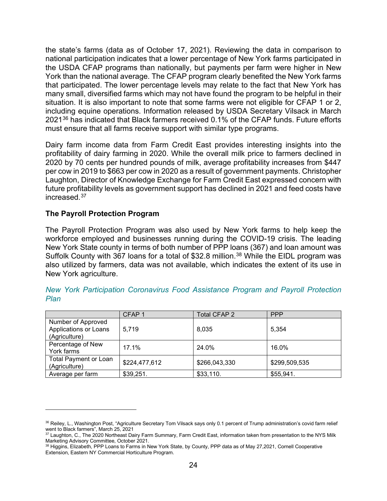the state's farms (data as of October 17, 2021). Reviewing the data in comparison to national participation indicates that a lower percentage of New York farms participated in the USDA CFAP programs than nationally, but payments per farm were higher in New York than the national average. The CFAP program clearly benefited the New York farms that participated. The lower percentage levels may relate to the fact that New York has many small, diversified farms which may not have found the program to be helpful in their situation. It is also important to note that some farms were not eligible for CFAP 1 or 2, including equine operations. Information released by USDA Secretary Vilsack in March 2021<sup>[36](#page-23-1)</sup> has indicated that Black farmers received 0.1% of the CFAP funds. Future efforts must ensure that all farms receive support with similar type programs.

Dairy farm income data from Farm Credit East provides interesting insights into the profitability of dairy farming in 2020. While the overall milk price to farmers declined in 2020 by 70 cents per hundred pounds of milk, average profitability increases from \$447 per cow in 2019 to \$663 per cow in 2020 as a result of government payments. Christopher Laughton, Director of Knowledge Exchange for Farm Credit East expressed concern with future profitability levels as government support has declined in 2021 and feed costs have increased. [37](#page-23-2)

#### **The Payroll Protection Program**

The Payroll Protection Program was also used by New York farms to help keep the workforce employed and businesses running during the COVID-19 crisis. The leading New York State county in terms of both number of PPP loans (367) and loan amount was Suffolk County with 367 loans for a total of \$32.8 million.<sup>[38](#page-23-3)</sup> While the EIDL program was also utilized by farmers, data was not available, which indicates the extent of its use in New York agriculture.

|                                                              | CFAP <sub>1</sub> | <b>Total CFAP 2</b> | <b>PPP</b>    |
|--------------------------------------------------------------|-------------------|---------------------|---------------|
| Number of Approved<br>Applications or Loans<br>(Agriculture) | 5,719             | 8,035               | 5,354         |
| Percentage of New<br>York farms                              | 17.1%             | 24.0%               | 16.0%         |
| Total Payment or Loan<br>(Agriculture)                       | \$224,477,612     | \$266,043,330       | \$299,509,535 |
| Average per farm                                             | \$39,251.         | \$33,110.           | \$55,941.     |

<span id="page-23-0"></span>*New York Participation Coronavirus Food Assistance Program and Payroll Protection Plan* 

<span id="page-23-1"></span><sup>&</sup>lt;sup>36</sup> Reiley, L., Washington Post, "Agriculture Secretary Tom Vilsack says only 0.1 percent of Trump administration's covid farm relief went to Black farmers", March 25, 2021

<span id="page-23-2"></span><sup>37</sup> Laughton, C., The 2020 Northeast Dairy Farm Summary, Farm Credit East, information taken from presentation to the NYS Milk Marketing Advisory Committee, October 2021.

<span id="page-23-3"></span><sup>38</sup> Higgins, Elizabeth, PPP Loans to Farms in New York State, by County, PPP data as of May 27,2021, Cornell Cooperative Extension, Eastern NY Commercial Horticulture Program.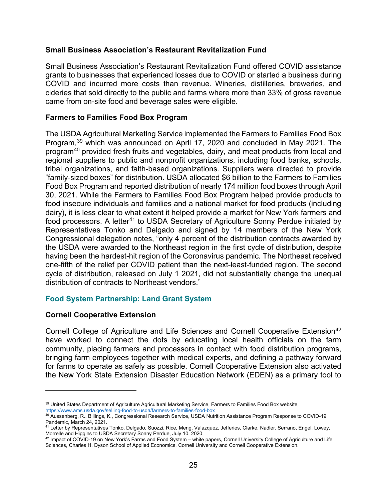#### **Small Business Association's Restaurant Revitalization Fund**

Small Business Association's Restaurant Revitalization Fund offered COVID assistance grants to businesses that experienced losses due to COVID or started a business during COVID and incurred more costs than revenue. Wineries, distilleries, breweries, and cideries that sold directly to the public and farms where more than 33% of gross revenue came from on-site food and beverage sales were eligible.

#### **Farmers to Families Food Box Program**

The USDA Agricultural Marketing Service implemented the Farmers to Families Food Box Program, [39](#page-24-1) which was announced on April 17, 2020 and concluded in May 2021. The program[40](#page-24-2) provided fresh fruits and vegetables, dairy, and meat products from local and regional suppliers to public and nonprofit organizations, including food banks, schools, tribal organizations, and faith-based organizations. Suppliers were directed to provide "family-sized boxes" for distribution. USDA allocated \$6 billion to the Farmers to Families Food Box Program and reported distribution of nearly 174 million food boxes through April 30, 2021. While the Farmers to Families Food Box Program helped provide products to food insecure individuals and families and a national market for food products (including dairy), it is less clear to what extent it helped provide a market for New York farmers and food processors. A letter<sup>[41](#page-24-3)</sup> to USDA Secretary of Agriculture Sonny Perdue initiated by Representatives Tonko and Delgado and signed by 14 members of the New York Congressional delegation notes, "only 4 percent of the distribution contracts awarded by the USDA were awarded to the Northeast region in the first cycle of distribution, despite having been the hardest-hit region of the Coronavirus pandemic. The Northeast received one-fifth of the relief per COVID patient than the next-least-funded region. The second cycle of distribution, released on July 1 2021, did not substantially change the unequal distribution of contracts to Northeast vendors."

## <span id="page-24-0"></span>**Food System Partnership: Land Grant System**

#### **Cornell Cooperative Extension**

Cornell College of Agriculture and Life Sciences and Cornell Cooperative Extension<sup>[42](#page-24-4)</sup> have worked to connect the dots by educating local health officials on the farm community, placing farmers and processors in contact with food distribution programs, bringing farm employees together with medical experts, and defining a pathway forward for farms to operate as safely as possible. Cornell Cooperative Extension also activated the New York State Extension Disaster Education Network (EDEN) as a primary tool to

<span id="page-24-1"></span><sup>39</sup> United States Department of Agriculture Agricultural Marketing Service, Farmers to Families Food Box website, <https://www.ams.usda.gov/selling-food-to-usda/farmers-to-families-food-box>

<span id="page-24-2"></span> $^{40}$  Aussenberg, R., Billings, K., Congressional Research Service, USDA Nutrition Assistance Program Response to COVID-19 Pandemic, March 24, 2021.

<span id="page-24-3"></span><sup>41</sup> Letter by Representatives Tonko, Delgado, Suozzi, Rice, Meng, Valazquez, Jefferies, Clarke, Nadler, Serrano, Engel, Lowey, Morrelle and Higgins to USDA Secretary Sonny Perdue, July 10, 2020.

<span id="page-24-4"></span><sup>42</sup> Impact of COVID-19 on New York's Farms and Food System – white papers, Cornell University College of Agriculture and Life Sciences, Charles H. Dyson School of Applied Economics, Cornell University and Cornell Cooperative Extension.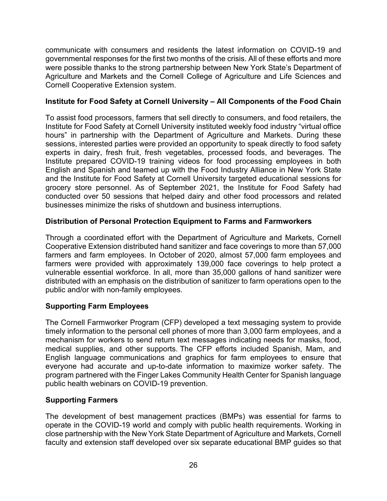communicate with consumers and residents the latest information on COVID-19 and governmental responses for the first two months of the crisis. All of these efforts and more were possible thanks to the strong partnership between New York State's Department of Agriculture and Markets and the Cornell College of Agriculture and Life Sciences and Cornell Cooperative Extension system.

## **Institute for Food Safety at Cornell University – All Components of the Food Chain**

To assist food processors, farmers that sell directly to consumers, and food retailers, the Institute for Food Safety at Cornell University instituted weekly food industry "virtual office hours" in partnership with the Department of Agriculture and Markets. During these sessions, interested parties were provided an opportunity to speak directly to food safety experts in dairy, fresh fruit, fresh vegetables, processed foods, and beverages. The Institute prepared COVID-19 training videos for food processing employees in both English and Spanish and teamed up with the Food Industry Alliance in New York State and the Institute for Food Safety at Cornell University targeted educational sessions for grocery store personnel. As of September 2021, the Institute for Food Safety had conducted over 50 sessions that helped dairy and other food processors and related businesses minimize the risks of shutdown and business interruptions.

## **Distribution of Personal Protection Equipment to Farms and Farmworkers**

Through a coordinated effort with the Department of Agriculture and Markets, Cornell Cooperative Extension distributed hand sanitizer and face coverings to more than 57,000 farmers and farm employees. In October of 2020, almost 57,000 farm employees and farmers were provided with approximately 139,000 face coverings to help protect a vulnerable essential workforce. In all, more than 35,000 gallons of hand sanitizer were distributed with an emphasis on the distribution of sanitizer to farm operations open to the public and/or with non-family employees.

## **Supporting Farm Employees**

The Cornell Farmworker Program (CFP) developed a text messaging system to provide timely information to the personal cell phones of more than 3,000 farm employees, and a mechanism for workers to send return text messages indicating needs for masks, food, medical supplies, and other supports. The CFP efforts included Spanish, Mam, and English language communications and graphics for farm employees to ensure that everyone had accurate and up-to-date information to maximize worker safety. The program partnered with the Finger Lakes Community Health Center for Spanish language public health webinars on COVID-19 prevention.

## **Supporting Farmers**

The development of best management practices (BMPs) was essential for farms to operate in the COVID-19 world and comply with public health requirements. Working in close partnership with the New York State Department of Agriculture and Markets, Cornell faculty and extension staff developed over six separate educational BMP guides so that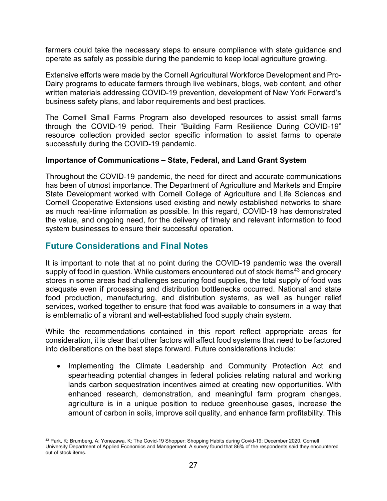farmers could take the necessary steps to ensure compliance with state guidance and operate as safely as possible during the pandemic to keep local agriculture growing.

Extensive efforts were made by the Cornell Agricultural Workforce Development and Pro-Dairy programs to educate farmers through live webinars, blogs, web content, and other written materials addressing COVID-19 prevention, development of New York Forward's business safety plans, and labor requirements and best practices.

The Cornell Small Farms Program also developed resources to assist small farms through the COVID-19 period. Their "Building Farm Resilience During COVID-19" resource collection provided sector specific information to assist farms to operate successfully during the COVID-19 pandemic.

#### **Importance of Communications – State, Federal, and Land Grant System**

Throughout the COVID-19 pandemic, the need for direct and accurate communications has been of utmost importance. The Department of Agriculture and Markets and Empire State Development worked with Cornell College of Agriculture and Life Sciences and Cornell Cooperative Extensions used existing and newly established networks to share as much real-time information as possible. In this regard, COVID-19 has demonstrated the value, and ongoing need, for the delivery of timely and relevant information to food system businesses to ensure their successful operation.

# <span id="page-26-0"></span>**Future Considerations and Final Notes**

It is important to note that at no point during the COVID-19 pandemic was the overall supply of food in question. While customers encountered out of stock items<sup>43</sup> and grocery stores in some areas had challenges securing food supplies, the total supply of food was adequate even if processing and distribution bottlenecks occurred. National and state food production, manufacturing, and distribution systems, as well as hunger relief services, worked together to ensure that food was available to consumers in a way that is emblematic of a vibrant and well-established food supply chain system.

While the recommendations contained in this report reflect appropriate areas for consideration, it is clear that other factors will affect food systems that need to be factored into deliberations on the best steps forward. Future considerations include:

• Implementing the Climate Leadership and Community Protection Act and spearheading potential changes in federal policies relating natural and working lands carbon sequestration incentives aimed at creating new opportunities. With enhanced research, demonstration, and meaningful farm program changes, agriculture is in a unique position to reduce greenhouse gases, increase the amount of carbon in soils, improve soil quality, and enhance farm profitability. This

<span id="page-26-1"></span><sup>&</sup>lt;sup>43</sup> Park, K; Brumberg, A; Yonezawa, K: The Covid-19 Shopper: Shopping Habits during Covid-19; December 2020. Cornell University Department of Applied Economics and Management. A survey found that 86% of the respondents said they encountered out of stock items.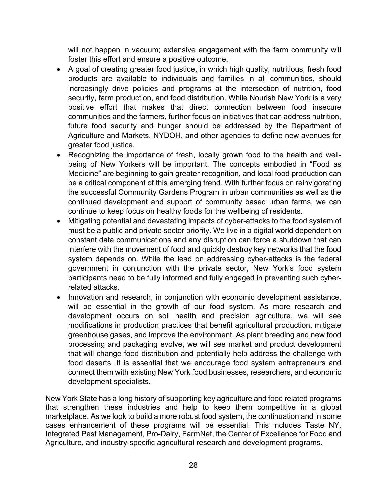will not happen in vacuum; extensive engagement with the farm community will foster this effort and ensure a positive outcome.

- A goal of creating greater food justice, in which high quality, nutritious, fresh food products are available to individuals and families in all communities, should increasingly drive policies and programs at the intersection of nutrition, food security, farm production, and food distribution. While Nourish New York is a very positive effort that makes that direct connection between food insecure communities and the farmers, further focus on initiatives that can address nutrition, future food security and hunger should be addressed by the Department of Agriculture and Markets, NYDOH, and other agencies to define new avenues for greater food justice.
- Recognizing the importance of fresh, locally grown food to the health and wellbeing of New Yorkers will be important. The concepts embodied in "Food as Medicine" are beginning to gain greater recognition, and local food production can be a critical component of this emerging trend. With further focus on reinvigorating the successful Community Gardens Program in urban communities as well as the continued development and support of community based urban farms, we can continue to keep focus on healthy foods for the wellbeing of residents.
- Mitigating potential and devastating impacts of cyber-attacks to the food system of must be a public and private sector priority. We live in a digital world dependent on constant data communications and any disruption can force a shutdown that can interfere with the movement of food and quickly destroy key networks that the food system depends on. While the lead on addressing cyber-attacks is the federal government in conjunction with the private sector, New York's food system participants need to be fully informed and fully engaged in preventing such cyberrelated attacks.
- Innovation and research, in conjunction with economic development assistance, will be essential in the growth of our food system. As more research and development occurs on soil health and precision agriculture, we will see modifications in production practices that benefit agricultural production, mitigate greenhouse gases, and improve the environment. As plant breeding and new food processing and packaging evolve, we will see market and product development that will change food distribution and potentially help address the challenge with food deserts. It is essential that we encourage food system entrepreneurs and connect them with existing New York food businesses, researchers, and economic development specialists.

New York State has a long history of supporting key agriculture and food related programs that strengthen these industries and help to keep them competitive in a global marketplace. As we look to build a more robust food system, the continuation and in some cases enhancement of these programs will be essential. This includes Taste NY, Integrated Pest Management, Pro-Dairy, FarmNet, the Center of Excellence for Food and Agriculture, and industry-specific agricultural research and development programs.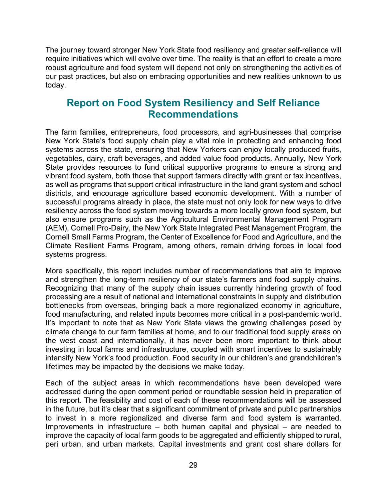The journey toward stronger New York State food resiliency and greater self-reliance will require initiatives which will evolve over time. The reality is that an effort to create a more robust agriculture and food system will depend not only on strengthening the activities of our past practices, but also on embracing opportunities and new realities unknown to us today.

# <span id="page-28-0"></span>**Report on Food System Resiliency and Self Reliance Recommendations**

The farm families, entrepreneurs, food processors, and agri-businesses that comprise New York State's food supply chain play a vital role in protecting and enhancing food systems across the state, ensuring that New Yorkers can enjoy locally produced fruits, vegetables, dairy, craft beverages, and added value food products. Annually, New York State provides resources to fund critical supportive programs to ensure a strong and vibrant food system, both those that support farmers directly with grant or tax incentives, as well as programs that support critical infrastructure in the land grant system and school districts, and encourage agriculture based economic development. With a number of successful programs already in place, the state must not only look for new ways to drive resiliency across the food system moving towards a more locally grown food system, but also ensure programs such as the Agricultural Environmental Management Program (AEM), Cornell Pro-Dairy, the New York State Integrated Pest Management Program, the Cornell Small Farms Program, the Center of Excellence for Food and Agriculture, and the Climate Resilient Farms Program, among others, remain driving forces in local food systems progress.

More specifically, this report includes number of recommendations that aim to improve and strengthen the long-term resiliency of our state's farmers and food supply chains. Recognizing that many of the supply chain issues currently hindering growth of food processing are a result of national and international constraints in supply and distribution bottlenecks from overseas, bringing back a more regionalized economy in agriculture, food manufacturing, and related inputs becomes more critical in a post-pandemic world. It's important to note that as New York State views the growing challenges posed by climate change to our farm families at home, and to our traditional food supply areas on the west coast and internationally, it has never been more important to think about investing in local farms and infrastructure, coupled with smart incentives to sustainably intensify New York's food production. Food security in our children's and grandchildren's lifetimes may be impacted by the decisions we make today.

Each of the subject areas in which recommendations have been developed were addressed during the open comment period or roundtable session held in preparation of this report. The feasibility and cost of each of these recommendations will be assessed in the future, but it's clear that a significant commitment of private and public partnerships to invest in a more regionalized and diverse farm and food system is warranted. Improvements in infrastructure – both human capital and physical – are needed to improve the capacity of local farm goods to be aggregated and efficiently shipped to rural, peri urban, and urban markets. Capital investments and grant cost share dollars for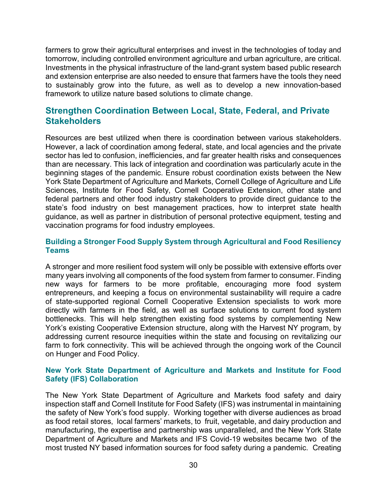farmers to grow their agricultural enterprises and invest in the technologies of today and tomorrow, including controlled environment agriculture and urban agriculture, are critical. Investments in the physical infrastructure of the land-grant system based public research and extension enterprise are also needed to ensure that farmers have the tools they need to sustainably grow into the future, as well as to develop a new innovation-based framework to utilize nature based solutions to climate change.

# <span id="page-29-0"></span>**Strengthen Coordination Between Local, State, Federal, and Private Stakeholders**

Resources are best utilized when there is coordination between various stakeholders. However, a lack of coordination among federal, state, and local agencies and the private sector has led to confusion, inefficiencies, and far greater health risks and consequences than are necessary. This lack of integration and coordination was particularly acute in the beginning stages of the pandemic. Ensure robust coordination exists between the New York State Department of Agriculture and Markets, Cornell College of Agriculture and Life Sciences, Institute for Food Safety, Cornell Cooperative Extension, other state and federal partners and other food industry stakeholders to provide direct guidance to the state's food industry on best management practices, how to interpret state health guidance, as well as partner in distribution of personal protective equipment, testing and vaccination programs for food industry employees.

### <span id="page-29-1"></span>**Building a Stronger Food Supply System through Agricultural and Food Resiliency Teams**

A stronger and more resilient food system will only be possible with extensive efforts over many years involving all components of the food system from farmer to consumer. Finding new ways for farmers to be more profitable, encouraging more food system entrepreneurs, and keeping a focus on environmental sustainability will require a cadre of state-supported regional Cornell Cooperative Extension specialists to work more directly with farmers in the field, as well as surface solutions to current food system bottlenecks. This will help strengthen existing food systems by complementing New York's existing Cooperative Extension structure, along with the Harvest NY program, by addressing current resource inequities within the state and focusing on revitalizing our farm to fork connectivity. This will be achieved through the ongoing work of the Council on Hunger and Food Policy.

#### <span id="page-29-2"></span>**New York State Department of Agriculture and Markets and Institute for Food Safety (IFS) Collaboration**

The New York State Department of Agriculture and Markets food safety and dairy inspection staff and Cornell Institute for Food Safety (IFS) was instrumental in maintaining the safety of New York's food supply. Working together with diverse audiences as broad as food retail stores, local farmers' markets, to fruit, vegetable, and dairy production and manufacturing, the expertise and partnership was unparalleled, and the New York State Department of Agriculture and Markets and IFS Covid-19 websites became two of the most trusted NY based information sources for food safety during a pandemic. Creating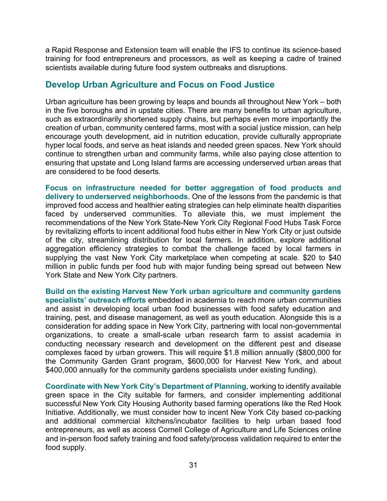a Rapid Response and Extension team will enable the IFS to continue its science-based training for food entrepreneurs and processors, as well as keeping a cadre of trained scientists available during future food system outbreaks and disruptions.

## <span id="page-30-0"></span>**Develop Urban Agriculture and Focus on Food Justice**

Urban agriculture has been growing by leaps and bounds all throughout New York – both in the five boroughs and in upstate cities. There are many benefits to urban agriculture, such as extraordinarily shortened supply chains, but perhaps even more importantly the creation of urban, community centered farms, most with a social justice mission, can help encourage youth development, aid in nutrition education, provide culturally appropriate hyper local foods, and serve as heat islands and needed green spaces. New York should continue to strengthen urban and community farms, while also paying close attention to ensuring that upstate and Long Island farms are accessing underserved urban areas that are considered to be food deserts.

<span id="page-30-1"></span>**Focus on infrastructure needed for better aggregation of food products and delivery to underserved neighborhoods.** One of the lessons from the pandemic is that improved food access and healthier eating strategies can help eliminate health disparities faced by underserved communities. To alleviate this, we must implement the recommendations of the New York State-New York City Regional Food Hubs Task Force by revitalizing efforts to incent additional food hubs either in New York City or just outside of the city, streamlining distribution for local farmers. In addition, explore additional aggregation efficiency strategies to combat the challenge faced by local farmers in supplying the vast New York City marketplace when competing at scale. \$20 to \$40 million in public funds per food hub with major funding being spread out between New York State and New York City partners.

<span id="page-30-2"></span>**Build on the existing Harvest New York urban agriculture and community gardens specialists' outreach efforts** embedded in academia to reach more urban communities and assist in developing local urban food businesses with food safety education and training, pest, and disease management, as well as youth education. Alongside this is a consideration for adding space in New York City, partnering with local non-governmental organizations, to create a small-scale urban research farm to assist academia in conducting necessary research and development on the different pest and disease complexes faced by urban growers. This will require \$1.8 million annually (\$800,000 for the Community Garden Grant program, \$600,000 for Harvest New York, and about \$400,000 annually for the community gardens specialists under existing funding).

<span id="page-30-3"></span>**Coordinate with New York City's Department of Planning**, working to identify available green space in the City suitable for farmers, and consider implementing additional successful New York City Housing Authority based farming operations like the Red Hook Initiative. Additionally, we must consider how to incent New York City based co-packing and additional commercial kitchens/incubator facilities to help urban based food entrepreneurs, as well as access Cornell College of Agriculture and Life Sciences online and in-person food safety training and food safety/process validation required to enter the food supply.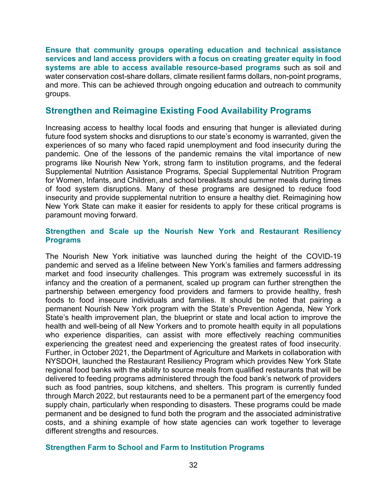<span id="page-31-0"></span>**Ensure that community groups operating education and technical assistance services and land access providers with a focus on creating greater equity in food systems are able to access available resource-based programs** such as soil and water conservation cost-share dollars, climate resilient farms dollars, non-point programs, and more. This can be achieved through ongoing education and outreach to community groups.

## <span id="page-31-1"></span>**Strengthen and Reimagine Existing Food Availability Programs**

Increasing access to healthy local foods and ensuring that hunger is alleviated during future food system shocks and disruptions to our state's economy is warranted, given the experiences of so many who faced rapid unemployment and food insecurity during the pandemic. One of the lessons of the pandemic remains the vital importance of new programs like Nourish New York, strong farm to institution programs, and the federal Supplemental Nutrition Assistance Programs, Special Supplemental Nutrition Program for Women, Infants, and Children, and school breakfasts and summer meals during times of food system disruptions. Many of these programs are designed to reduce food insecurity and provide supplemental nutrition to ensure a healthy diet. Reimagining how New York State can make it easier for residents to apply for these critical programs is paramount moving forward.

#### <span id="page-31-2"></span>**Strengthen and Scale up the Nourish New York and Restaurant Resiliency Programs**

The Nourish New York initiative was launched during the height of the COVID-19 pandemic and served as a lifeline between New York's families and farmers addressing market and food insecurity challenges. This program was extremely successful in its infancy and the creation of a permanent, scaled up program can further strengthen the partnership between emergency food providers and farmers to provide healthy, fresh foods to food insecure individuals and families. It should be noted that pairing a permanent Nourish New York program with the State's Prevention Agenda, New York State's health improvement plan, the blueprint or state and local action to improve the health and well-being of all New Yorkers and to promote health equity in all populations who experience disparities, can assist with more effectively reaching communities experiencing the greatest need and experiencing the greatest rates of food insecurity. Further, in October 2021, the Department of Agriculture and Markets in collaboration with NYSDOH, launched the Restaurant Resiliency Program which provides New York State regional food banks with the ability to source meals from qualified restaurants that will be delivered to feeding programs administered through the food bank's network of providers such as food pantries, soup kitchens, and shelters. This program is currently funded through March 2022, but restaurants need to be a permanent part of the emergency food supply chain, particularly when responding to disasters. These programs could be made permanent and be designed to fund both the program and the associated administrative costs, and a shining example of how state agencies can work together to leverage different strengths and resources.

#### <span id="page-31-3"></span>**Strengthen Farm to School and Farm to Institution Programs**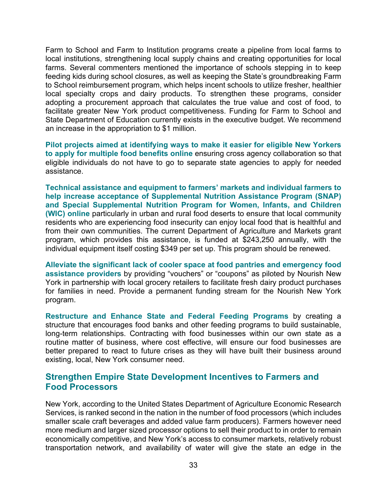Farm to School and Farm to Institution programs create a pipeline from local farms to local institutions, strengthening local supply chains and creating opportunities for local farms. Several commenters mentioned the importance of schools stepping in to keep feeding kids during school closures, as well as keeping the State's groundbreaking Farm to School reimbursement program, which helps incent schools to utilize fresher, healthier local specialty crops and dairy products. To strengthen these programs, consider adopting a procurement approach that calculates the true value and cost of food, to facilitate greater New York product competitiveness. Funding for Farm to School and State Department of Education currently exists in the executive budget. We recommend an increase in the appropriation to \$1 million.

<span id="page-32-0"></span>**Pilot projects aimed at identifying ways to make it easier for eligible New Yorkers to apply for multiple food benefits online** ensuring cross agency collaboration so that eligible individuals do not have to go to separate state agencies to apply for needed assistance.

<span id="page-32-1"></span>**Technical assistance and equipment to farmers' markets and individual farmers to help increase acceptance of Supplemental Nutrition Assistance Program (SNAP) and Special Supplemental Nutrition Program for Women, Infants, and Children (WIC) online** particularly in urban and rural food deserts to ensure that local community residents who are experiencing food insecurity can enjoy local food that is healthful and from their own communities. The current Department of Agriculture and Markets grant program, which provides this assistance, is funded at \$243,250 annually, with the individual equipment itself costing \$349 per set up. This program should be renewed.

<span id="page-32-2"></span>**Alleviate the significant lack of cooler space at food pantries and emergency food assistance providers** by providing "vouchers" or "coupons" as piloted by Nourish New York in partnership with local grocery retailers to facilitate fresh dairy product purchases for families in need. Provide a permanent funding stream for the Nourish New York program.

<span id="page-32-3"></span>**Restructure and Enhance State and Federal Feeding Programs** by creating a structure that encourages food banks and other feeding programs to build sustainable, long-term relationships. Contracting with food businesses within our own state as a routine matter of business, where cost effective, will ensure our food businesses are better prepared to react to future crises as they will have built their business around existing, local, New York consumer need.

## <span id="page-32-4"></span>**Strengthen Empire State Development Incentives to Farmers and Food Processors**

New York, according to the United States Department of Agriculture Economic Research Services, is ranked second in the nation in the number of food processors (which includes smaller scale craft beverages and added value farm producers). Farmers however need more medium and larger sized processor options to sell their product to in order to remain economically competitive, and New York's access to consumer markets, relatively robust transportation network, and availability of water will give the state an edge in the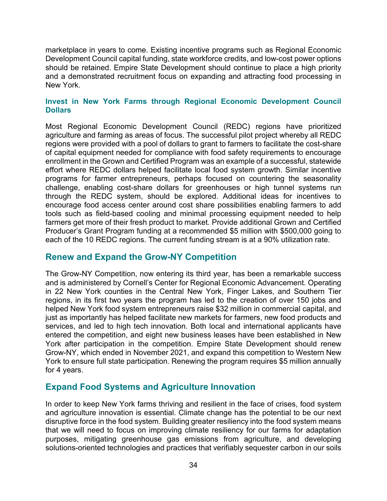marketplace in years to come. Existing incentive programs such as Regional Economic Development Council capital funding, state workforce credits, and low-cost power options should be retained. Empire State Development should continue to place a high priority and a demonstrated recruitment focus on expanding and attracting food processing in New York.

### <span id="page-33-0"></span>**Invest in New York Farms through Regional Economic Development Council Dollars**

Most Regional Economic Development Council (REDC) regions have prioritized agriculture and farming as areas of focus. The successful pilot project whereby all REDC regions were provided with a pool of dollars to grant to farmers to facilitate the cost-share of capital equipment needed for compliance with food safety requirements to encourage enrollment in the Grown and Certified Program was an example of a successful, statewide effort where REDC dollars helped facilitate local food system growth. Similar incentive programs for farmer entrepreneurs, perhaps focused on countering the seasonality challenge, enabling cost-share dollars for greenhouses or high tunnel systems run through the REDC system, should be explored. Additional ideas for incentives to encourage food access center around cost share possibilities enabling farmers to add tools such as field-based cooling and minimal processing equipment needed to help farmers get more of their fresh product to market. Provide additional Grown and Certified Producer's Grant Program funding at a recommended \$5 million with \$500,000 going to each of the 10 REDC regions. The current funding stream is at a 90% utilization rate.

# <span id="page-33-1"></span>**Renew and Expand the Grow-NY Competition**

The Grow-NY Competition, now entering its third year, has been a remarkable success and is administered by Cornell's Center for Regional Economic Advancement. Operating in 22 New York counties in the Central New York, Finger Lakes, and Southern Tier regions, in its first two years the program has led to the creation of over 150 jobs and helped New York food system entrepreneurs raise \$32 million in commercial capital, and just as importantly has helped facilitate new markets for farmers, new food products and services, and led to high tech innovation. Both local and international applicants have entered the competition, and eight new business leases have been established in New York after participation in the competition. Empire State Development should renew Grow-NY, which ended in November 2021, and expand this competition to Western New York to ensure full state participation. Renewing the program requires \$5 million annually for 4 years.

# <span id="page-33-2"></span>**Expand Food Systems and Agriculture Innovation**

In order to keep New York farms thriving and resilient in the face of crises, food system and agriculture innovation is essential. Climate change has the potential to be our next disruptive force in the food system. Building greater resiliency into the food system means that we will need to focus on improving climate resiliency for our farms for adaptation purposes, mitigating greenhouse gas emissions from agriculture, and developing solutions-oriented technologies and practices that verifiably sequester carbon in our soils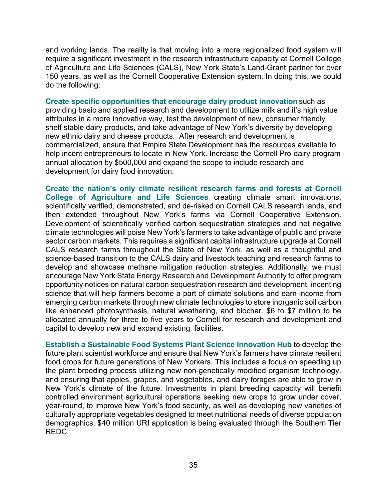and working lands. The reality is that moving into a more regionalized food system will require a significant investment in the research infrastructure capacity at Cornell College of Agriculture and Life Sciences (CALS), New York State's Land-Grant partner for over 150 years, as well as the Cornell Cooperative Extension system. In doing this, we could do the following:

<span id="page-34-0"></span>**Create specific opportunities that encourage dairy product innovation** such as providing basic and applied research and development to utilize milk and it's high value attributes in a more innovative way, test the development of new, consumer friendly shelf stable dairy products, and take advantage of New York's diversity by developing new ethnic dairy and cheese products. After research and development is commercialized, ensure that Empire State Development has the resources available to help incent entrepreneurs to locate in New York. Increase the Cornell Pro-dairy program annual allocation by \$500,000 and expand the scope to include research and development for dairy food innovation.

<span id="page-34-1"></span>**Create the nation's only climate resilient research farms and forests at Cornell College of Agriculture and Life Sciences** creating climate smart innovations, scientifically verified, demonstrated, and de-risked on Cornell CALS research lands, and then extended throughout New York's farms via Cornell Cooperative Extension. Development of scientifically verified carbon sequestration strategies and net negative climate technologies will poise New York's farmers to take advantage of public and private sector carbon markets. This requires a significant capital infrastructure upgrade at Cornell CALS research farms throughout the State of New York, as well as a thoughtful and science-based transition to the CALS dairy and livestock teaching and research farms to develop and showcase methane mitigation reduction strategies. Additionally, we must encourage New York State Energy Research and Development Authority to offer program opportunity notices on natural carbon sequestration research and development, incenting science that will help farmers become a part of climate solutions and earn income from emerging carbon markets through new climate technologies to store inorganic soil carbon like enhanced photosynthesis, natural weathering, and biochar. \$6 to \$7 million to be allocated annually for three to five years to Cornell for research and development and capital to develop new and expand existing facilities.

<span id="page-34-2"></span>**Establish a Sustainable Food Systems Plant Science Innovation Hub** to develop the future plant scientist workforce and ensure that New York's farmers have climate resilient food crops for future generations of New Yorkers. This includes a focus on speeding up the plant breeding process utilizing new non-genetically modified organism technology, and ensuring that apples, grapes, and vegetables, and dairy forages are able to grow in New York's climate of the future. Investments in plant breeding capacity will benefit controlled environment agricultural operations seeking new crops to grow under cover, year-round, to improve New York's food security, as well as developing new varieties of culturally appropriate vegetables designed to meet nutritional needs of diverse population demographics. \$40 million URI application is being evaluated through the Southern Tier REDC.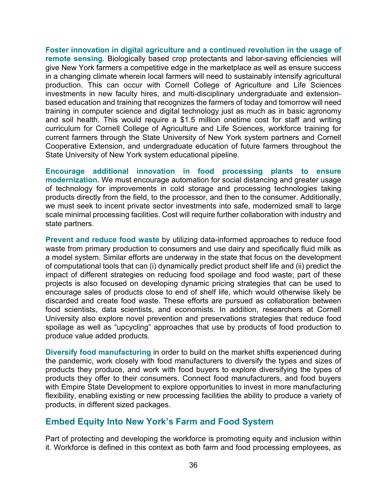<span id="page-35-0"></span>**Foster innovation in digital agriculture and a continued revolution in the usage of remote sensing***.* Biologically based crop protectants and labor-saving efficiencies will give New York farmers a competitive edge in the marketplace as well as ensure success in a changing climate wherein local farmers will need to sustainably intensify agricultural production. This can occur with Cornell College of Agriculture and Life Sciences investments in new faculty hires, and multi-disciplinary undergraduate and extensionbased education and training that recognizes the farmers of today and tomorrow will need training in computer science and digital technology just as much as in basic agronomy and soil health. This would require a \$1.5 million onetime cost for staff and writing curriculum for Cornell College of Agriculture and Life Sciences, workforce training for current farmers through the State University of New York system partners and Cornell Cooperative Extension, and undergraduate education of future farmers throughout the State University of New York system educational pipeline.

<span id="page-35-1"></span>**Encourage additional innovation in food processing plants to ensure modernization.** We must encourage automation for social distancing and greater usage of technology for improvements in cold storage and processing technologies taking products directly from the field, to the processor, and then to the consumer. Additionally, we must seek to incent private sector investments into safe, modernized small to large scale minimal processing facilities. Cost will require further collaboration with industry and state partners.

<span id="page-35-2"></span>**Prevent and reduce food waste** by utilizing data-informed approaches to reduce food waste from primary production to consumers and use dairy and specifically fluid milk as a model system. Similar efforts are underway in the state that focus on the development of computational tools that can (i) dynamically predict product shelf life and (ii) predict the impact of different strategies on reducing food spoilage and food waste; part of these projects is also focused on developing dynamic pricing strategies that can be used to encourage sales of products close to end of shelf life, which would otherwise likely be discarded and create food waste. These efforts are pursued as collaboration between food scientists, data scientists, and economists. In addition, researchers at Cornell University also explore novel prevention and preservations strategies that reduce food spoilage as well as "upcycling" approaches that use by products of food production to produce value added products.

<span id="page-35-3"></span>**Diversify food manufacturing** in order to build on the market shifts experienced during the pandemic, work closely with food manufacturers to diversify the types and sizes of products they produce, and work with food buyers to explore diversifying the types of products they offer to their consumers. Connect food manufacturers, and food buyers with Empire State Development to explore opportunities to invest in more manufacturing flexibility, enabling existing or new processing facilities the ability to produce a variety of products, in different sized packages.

# <span id="page-35-4"></span>**Embed Equity Into New York's Farm and Food System**

Part of protecting and developing the workforce is promoting equity and inclusion within it. Workforce is defined in this context as both farm and food processing employees, as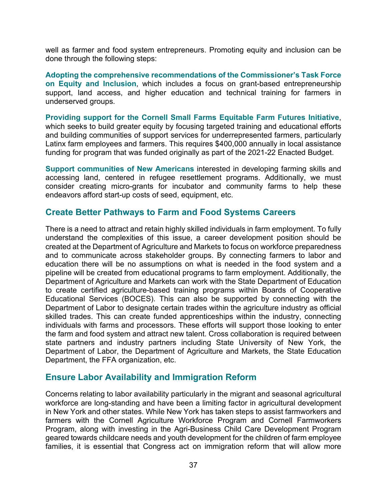well as farmer and food system entrepreneurs. Promoting equity and inclusion can be done through the following steps:

<span id="page-36-0"></span>**Adopting the comprehensive recommendations of the Commissioner's Task Force on Equity and Inclusion**, which includes a focus on grant-based entrepreneurship support, land access, and higher education and technical training for farmers in underserved groups.

<span id="page-36-1"></span>**Providing support for the Cornell Small Farms Equitable Farm Futures Initiative**, which seeks to build greater equity by focusing targeted training and educational efforts and building communities of support services for underrepresented farmers, particularly Latinx farm employees and farmers. This requires \$400,000 annually in local assistance funding for program that was funded originally as part of the 2021-22 Enacted Budget.

<span id="page-36-2"></span>**Support communities of New Americans** interested in developing farming skills and accessing land, centered in refugee resettlement programs. Additionally, we must consider creating micro-grants for incubator and community farms to help these endeavors afford start-up costs of seed, equipment, etc.

# <span id="page-36-3"></span>**Create Better Pathways to Farm and Food Systems Careers**

There is a need to attract and retain highly skilled individuals in farm employment. To fully understand the complexities of this issue, a career development position should be created at the Department of Agriculture and Markets to focus on workforce preparedness and to communicate across stakeholder groups. By connecting farmers to labor and education there will be no assumptions on what is needed in the food system and a pipeline will be created from educational programs to farm employment. Additionally, the Department of Agriculture and Markets can work with the State Department of Education to create certified agriculture-based training programs within Boards of Cooperative Educational Services (BOCES). This can also be supported by connecting with the Department of Labor to designate certain trades within the agriculture industry as official skilled trades. This can create funded apprenticeships within the industry, connecting individuals with farms and processors. These efforts will support those looking to enter the farm and food system and attract new talent. Cross collaboration is required between state partners and industry partners including State University of New York, the Department of Labor, the Department of Agriculture and Markets, the State Education Department, the FFA organization, etc.

## <span id="page-36-4"></span>**Ensure Labor Availability and Immigration Reform**

Concerns relating to labor availability particularly in the migrant and seasonal agricultural workforce are long-standing and have been a limiting factor in agricultural development in New York and other states. While New York has taken steps to assist farmworkers and farmers with the Cornell Agriculture Workforce Program and Cornell Farmworkers Program, along with investing in the Agri-Business Child Care Development Program geared towards childcare needs and youth development for the children of farm employee families, it is essential that Congress act on immigration reform that will allow more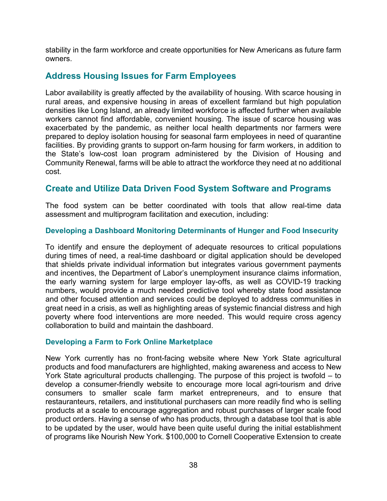stability in the farm workforce and create opportunities for New Americans as future farm owners.

# <span id="page-37-0"></span>**Address Housing Issues for Farm Employees**

Labor availability is greatly affected by the availability of housing. With scarce housing in rural areas, and expensive housing in areas of excellent farmland but high population densities like Long Island, an already limited workforce is affected further when available workers cannot find affordable, convenient housing. The issue of scarce housing was exacerbated by the pandemic, as neither local health departments nor farmers were prepared to deploy isolation housing for seasonal farm employees in need of quarantine facilities. By providing grants to support on-farm housing for farm workers, in addition to the State's low-cost loan program administered by the Division of Housing and Community Renewal, farms will be able to attract the workforce they need at no additional cost.

# <span id="page-37-1"></span>**Create and Utilize Data Driven Food System Software and Programs**

The food system can be better coordinated with tools that allow real-time data assessment and multiprogram facilitation and execution, including:

### <span id="page-37-2"></span>**Developing a Dashboard Monitoring Determinants of Hunger and Food Insecurity**

To identify and ensure the deployment of adequate resources to critical populations during times of need, a real-time dashboard or digital application should be developed that shields private individual information but integrates various government payments and incentives, the Department of Labor's unemployment insurance claims information, the early warning system for large employer lay-offs, as well as COVID-19 tracking numbers, would provide a much needed predictive tool whereby state food assistance and other focused attention and services could be deployed to address communities in great need in a crisis, as well as highlighting areas of systemic financial distress and high poverty where food interventions are more needed. This would require cross agency collaboration to build and maintain the dashboard.

## <span id="page-37-3"></span>**Developing a Farm to Fork Online Marketplace**

New York currently has no front-facing website where New York State agricultural products and food manufacturers are highlighted, making awareness and access to New York State agricultural products challenging. The purpose of this project is twofold – to develop a consumer-friendly website to encourage more local agri-tourism and drive consumers to smaller scale farm market entrepreneurs, and to ensure that restauranteurs, retailers, and institutional purchasers can more readily find who is selling products at a scale to encourage aggregation and robust purchases of larger scale food product orders. Having a sense of who has products, through a database tool that is able to be updated by the user, would have been quite useful during the initial establishment of programs like Nourish New York. \$100,000 to Cornell Cooperative Extension to create